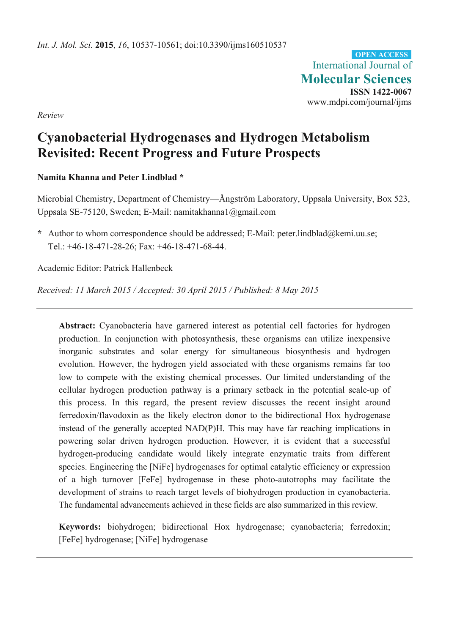International Journal of **Molecular Sciences ISSN 1422-0067**  www.mdpi.com/journal/ijms **OPEN ACCESS**

*Review* 

# **Cyanobacterial Hydrogenases and Hydrogen Metabolism Revisited: Recent Progress and Future Prospects**

## **Namita Khanna and Peter Lindblad \***

Microbial Chemistry, Department of Chemistry—Ångström Laboratory, Uppsala University, Box 523, Uppsala SE-75120, Sweden; E-Mail: namitakhanna1@gmail.com

**\*** Author to whom correspondence should be addressed; E-Mail: peter.lindblad@kemi.uu.se; Tel.: +46-18-471-28-26; Fax: +46-18-471-68-44.

Academic Editor: Patrick Hallenbeck

*Received: 11 March 2015 / Accepted: 30 April 2015 / Published: 8 May 2015* 

**Abstract:** Cyanobacteria have garnered interest as potential cell factories for hydrogen production. In conjunction with photosynthesis, these organisms can utilize inexpensive inorganic substrates and solar energy for simultaneous biosynthesis and hydrogen evolution. However, the hydrogen yield associated with these organisms remains far too low to compete with the existing chemical processes. Our limited understanding of the cellular hydrogen production pathway is a primary setback in the potential scale-up of this process. In this regard, the present review discusses the recent insight around ferredoxin/flavodoxin as the likely electron donor to the bidirectional Hox hydrogenase instead of the generally accepted NAD(P)H. This may have far reaching implications in powering solar driven hydrogen production. However, it is evident that a successful hydrogen-producing candidate would likely integrate enzymatic traits from different species. Engineering the [NiFe] hydrogenases for optimal catalytic efficiency or expression of a high turnover [FeFe] hydrogenase in these photo-autotrophs may facilitate the development of strains to reach target levels of biohydrogen production in cyanobacteria. The fundamental advancements achieved in these fields are also summarized in this review.

**Keywords:** biohydrogen; bidirectional Hox hydrogenase; cyanobacteria; ferredoxin; [FeFe] hydrogenase; [NiFe] hydrogenase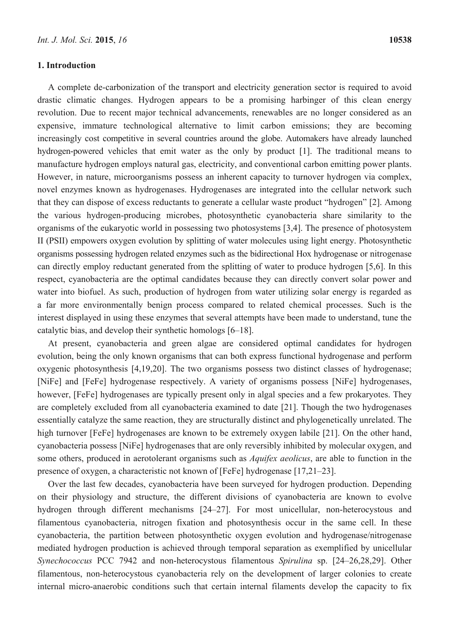A complete de-carbonization of the transport and electricity generation sector is required to avoid drastic climatic changes. Hydrogen appears to be a promising harbinger of this clean energy revolution. Due to recent major technical advancements, renewables are no longer considered as an expensive, immature technological alternative to limit carbon emissions; they are becoming increasingly cost competitive in several countries around the globe. Automakers have already launched hydrogen-powered vehicles that emit water as the only by product [1]. The traditional means to manufacture hydrogen employs natural gas, electricity, and conventional carbon emitting power plants. However, in nature, microorganisms possess an inherent capacity to turnover hydrogen via complex, novel enzymes known as hydrogenases. Hydrogenases are integrated into the cellular network such that they can dispose of excess reductants to generate a cellular waste product "hydrogen" [2]. Among the various hydrogen-producing microbes, photosynthetic cyanobacteria share similarity to the organisms of the eukaryotic world in possessing two photosystems [3,4]. The presence of photosystem II (PSII) empowers oxygen evolution by splitting of water molecules using light energy. Photosynthetic organisms possessing hydrogen related enzymes such as the bidirectional Hox hydrogenase or nitrogenase can directly employ reductant generated from the splitting of water to produce hydrogen [5,6]. In this respect, cyanobacteria are the optimal candidates because they can directly convert solar power and water into biofuel. As such, production of hydrogen from water utilizing solar energy is regarded as a far more environmentally benign process compared to related chemical processes. Such is the interest displayed in using these enzymes that several attempts have been made to understand, tune the catalytic bias, and develop their synthetic homologs [6–18].

At present, cyanobacteria and green algae are considered optimal candidates for hydrogen evolution, being the only known organisms that can both express functional hydrogenase and perform oxygenic photosynthesis [4,19,20]. The two organisms possess two distinct classes of hydrogenase; [NiFe] and [FeFe] hydrogenase respectively. A variety of organisms possess [NiFe] hydrogenases, however, [FeFe] hydrogenases are typically present only in algal species and a few prokaryotes. They are completely excluded from all cyanobacteria examined to date [21]. Though the two hydrogenases essentially catalyze the same reaction, they are structurally distinct and phylogenetically unrelated. The high turnover [FeFe] hydrogenases are known to be extremely oxygen labile [21]. On the other hand, cyanobacteria possess [NiFe] hydrogenases that are only reversibly inhibited by molecular oxygen, and some others, produced in aerotolerant organisms such as *Aquifex aeolicus*, are able to function in the presence of oxygen, a characteristic not known of [FeFe] hydrogenase [17,21–23].

Over the last few decades, cyanobacteria have been surveyed for hydrogen production. Depending on their physiology and structure, the different divisions of cyanobacteria are known to evolve hydrogen through different mechanisms [24–27]. For most unicellular, non-heterocystous and filamentous cyanobacteria, nitrogen fixation and photosynthesis occur in the same cell. In these cyanobacteria, the partition between photosynthetic oxygen evolution and hydrogenase/nitrogenase mediated hydrogen production is achieved through temporal separation as exemplified by unicellular *Synechococcus* PCC 7942 and non-heterocystous filamentous *Spirulina* sp. [24–26,28,29]. Other filamentous, non-heterocystous cyanobacteria rely on the development of larger colonies to create internal micro-anaerobic conditions such that certain internal filaments develop the capacity to fix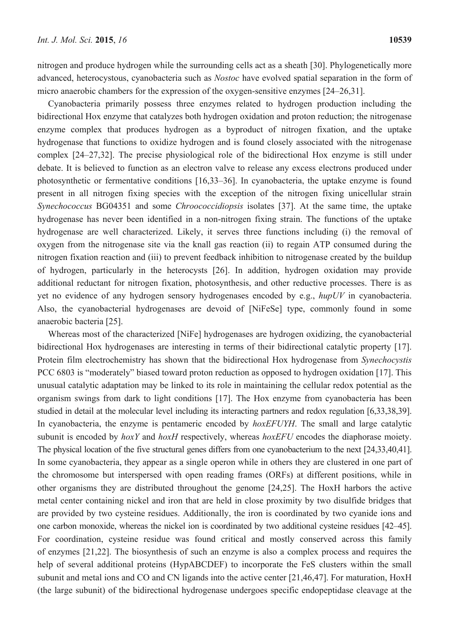nitrogen and produce hydrogen while the surrounding cells act as a sheath [30]. Phylogenetically more advanced, heterocystous, cyanobacteria such as *Nostoc* have evolved spatial separation in the form of micro anaerobic chambers for the expression of the oxygen-sensitive enzymes [24–26,31].

Cyanobacteria primarily possess three enzymes related to hydrogen production including the bidirectional Hox enzyme that catalyzes both hydrogen oxidation and proton reduction; the nitrogenase enzyme complex that produces hydrogen as a byproduct of nitrogen fixation, and the uptake hydrogenase that functions to oxidize hydrogen and is found closely associated with the nitrogenase complex [24–27,32]. The precise physiological role of the bidirectional Hox enzyme is still under debate. It is believed to function as an electron valve to release any excess electrons produced under photosynthetic or fermentative conditions [16,33–36]. In cyanobacteria, the uptake enzyme is found present in all nitrogen fixing species with the exception of the nitrogen fixing unicellular strain *Synechococcus* BG04351 and some *Chroococcidiopsis* isolates [37]. At the same time, the uptake hydrogenase has never been identified in a non-nitrogen fixing strain. The functions of the uptake hydrogenase are well characterized. Likely, it serves three functions including (i) the removal of oxygen from the nitrogenase site via the knall gas reaction (ii) to regain ATP consumed during the nitrogen fixation reaction and (iii) to prevent feedback inhibition to nitrogenase created by the buildup of hydrogen, particularly in the heterocysts [26]. In addition, hydrogen oxidation may provide additional reductant for nitrogen fixation, photosynthesis, and other reductive processes. There is as yet no evidence of any hydrogen sensory hydrogenases encoded by e.g., *hupUV* in cyanobacteria. Also, the cyanobacterial hydrogenases are devoid of [NiFeSe] type, commonly found in some anaerobic bacteria [25].

Whereas most of the characterized [NiFe] hydrogenases are hydrogen oxidizing, the cyanobacterial bidirectional Hox hydrogenases are interesting in terms of their bidirectional catalytic property [17]. Protein film electrochemistry has shown that the bidirectional Hox hydrogenase from *Synechocystis* PCC 6803 is "moderately" biased toward proton reduction as opposed to hydrogen oxidation [17]. This unusual catalytic adaptation may be linked to its role in maintaining the cellular redox potential as the organism swings from dark to light conditions [17]. The Hox enzyme from cyanobacteria has been studied in detail at the molecular level including its interacting partners and redox regulation [6,33,38,39]. In cyanobacteria, the enzyme is pentameric encoded by *hoxEFUYH*. The small and large catalytic subunit is encoded by *hoxY* and *hoxH* respectively, whereas *hoxEFU* encodes the diaphorase moiety. The physical location of the five structural genes differs from one cyanobacterium to the next [24,33,40,41]. In some cyanobacteria, they appear as a single operon while in others they are clustered in one part of the chromosome but interspersed with open reading frames (ORFs) at different positions, while in other organisms they are distributed throughout the genome [24,25]. The HoxH harbors the active metal center containing nickel and iron that are held in close proximity by two disulfide bridges that are provided by two cysteine residues. Additionally, the iron is coordinated by two cyanide ions and one carbon monoxide, whereas the nickel ion is coordinated by two additional cysteine residues [42–45]. For coordination, cysteine residue was found critical and mostly conserved across this family of enzymes [21,22]. The biosynthesis of such an enzyme is also a complex process and requires the help of several additional proteins (HypABCDEF) to incorporate the FeS clusters within the small subunit and metal ions and CO and CN ligands into the active center [21,46,47]. For maturation, HoxH (the large subunit) of the bidirectional hydrogenase undergoes specific endopeptidase cleavage at the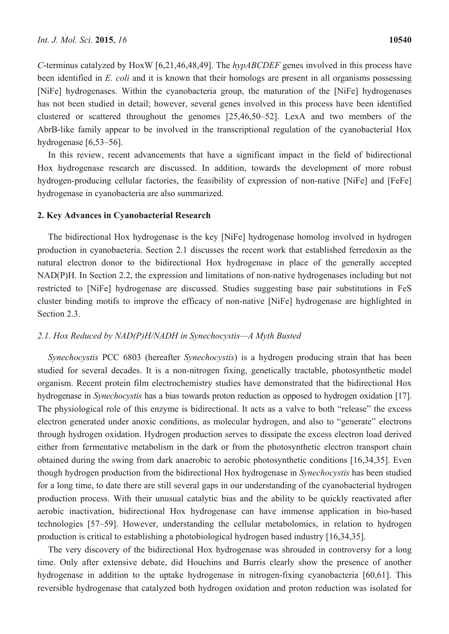*C*-terminus catalyzed by HoxW [6,21,46,48,49]. The *hypABCDEF* genes involved in this process have been identified in *E. coli* and it is known that their homologs are present in all organisms possessing [NiFe] hydrogenases. Within the cyanobacteria group, the maturation of the [NiFe] hydrogenases has not been studied in detail; however, several genes involved in this process have been identified clustered or scattered throughout the genomes [25,46,50–52]. LexA and two members of the AbrB-like family appear to be involved in the transcriptional regulation of the cyanobacterial Hox hydrogenase [6,53–56].

In this review, recent advancements that have a significant impact in the field of bidirectional Hox hydrogenase research are discussed. In addition, towards the development of more robust hydrogen-producing cellular factories, the feasibility of expression of non-native [NiFe] and [FeFe] hydrogenase in cyanobacteria are also summarized.

## **2. Key Advances in Cyanobacterial Research**

The bidirectional Hox hydrogenase is the key [NiFe] hydrogenase homolog involved in hydrogen production in cyanobacteria. Section 2.1 discusses the recent work that established ferredoxin as the natural electron donor to the bidirectional Hox hydrogenase in place of the generally accepted NAD(P)H. In Section 2.2, the expression and limitations of non-native hydrogenases including but not restricted to [NiFe] hydrogenase are discussed. Studies suggesting base pair substitutions in FeS cluster binding motifs to improve the efficacy of non-native [NiFe] hydrogenase are highlighted in Section 2.3.

### *2.1. Hox Reduced by NAD(P)H/NADH in Synechocystis—A Myth Busted*

*Synechocystis* PCC 6803 (hereafter *Synechocystis*) is a hydrogen producing strain that has been studied for several decades. It is a non-nitrogen fixing, genetically tractable, photosynthetic model organism. Recent protein film electrochemistry studies have demonstrated that the bidirectional Hox hydrogenase in *Synechocystis* has a bias towards proton reduction as opposed to hydrogen oxidation [17]. The physiological role of this enzyme is bidirectional. It acts as a valve to both "release" the excess electron generated under anoxic conditions, as molecular hydrogen, and also to "generate" electrons through hydrogen oxidation. Hydrogen production serves to dissipate the excess electron load derived either from fermentative metabolism in the dark or from the photosynthetic electron transport chain obtained during the swing from dark anaerobic to aerobic photosynthetic conditions [16,34,35]. Even though hydrogen production from the bidirectional Hox hydrogenase in *Synechocystis* has been studied for a long time, to date there are still several gaps in our understanding of the cyanobacterial hydrogen production process. With their unusual catalytic bias and the ability to be quickly reactivated after aerobic inactivation, bidirectional Hox hydrogenase can have immense application in bio-based technologies [57–59]. However, understanding the cellular metabolomics, in relation to hydrogen production is critical to establishing a photobiological hydrogen based industry [16,34,35].

The very discovery of the bidirectional Hox hydrogenase was shrouded in controversy for a long time. Only after extensive debate, did Houchins and Burris clearly show the presence of another hydrogenase in addition to the uptake hydrogenase in nitrogen-fixing cyanobacteria [60,61]. This reversible hydrogenase that catalyzed both hydrogen oxidation and proton reduction was isolated for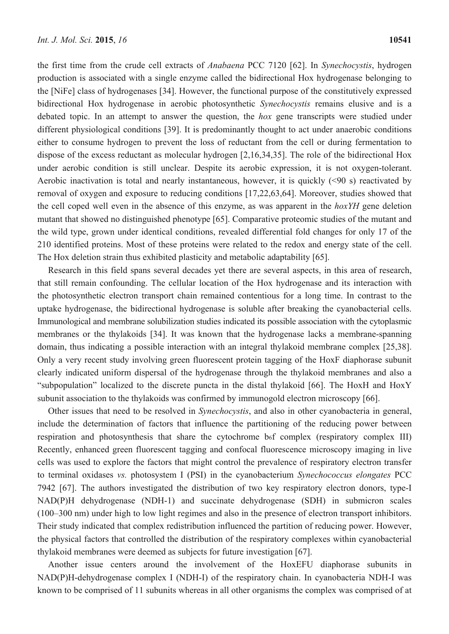the first time from the crude cell extracts of *Anabaena* PCC 7120 [62]. In *Synechocystis*, hydrogen production is associated with a single enzyme called the bidirectional Hox hydrogenase belonging to the [NiFe] class of hydrogenases [34]. However, the functional purpose of the constitutively expressed bidirectional Hox hydrogenase in aerobic photosynthetic *Synechocystis* remains elusive and is a debated topic. In an attempt to answer the question, the *hox* gene transcripts were studied under different physiological conditions [39]. It is predominantly thought to act under anaerobic conditions either to consume hydrogen to prevent the loss of reductant from the cell or during fermentation to dispose of the excess reductant as molecular hydrogen [2,16,34,35]. The role of the bidirectional Hox under aerobic condition is still unclear. Despite its aerobic expression, it is not oxygen-tolerant. Aerobic inactivation is total and nearly instantaneous, however, it is quickly (<90 s) reactivated by removal of oxygen and exposure to reducing conditions [17,22,63,64]. Moreover, studies showed that the cell coped well even in the absence of this enzyme, as was apparent in the *hoxYH* gene deletion mutant that showed no distinguished phenotype [65]. Comparative proteomic studies of the mutant and the wild type, grown under identical conditions, revealed differential fold changes for only 17 of the 210 identified proteins. Most of these proteins were related to the redox and energy state of the cell. The Hox deletion strain thus exhibited plasticity and metabolic adaptability [65].

Research in this field spans several decades yet there are several aspects, in this area of research, that still remain confounding. The cellular location of the Hox hydrogenase and its interaction with the photosynthetic electron transport chain remained contentious for a long time. In contrast to the uptake hydrogenase, the bidirectional hydrogenase is soluble after breaking the cyanobacterial cells. Immunological and membrane solubilization studies indicated its possible association with the cytoplasmic membranes or the thylakoids [34]. It was known that the hydrogenase lacks a membrane-spanning domain, thus indicating a possible interaction with an integral thylakoid membrane complex [25,38]. Only a very recent study involving green fluorescent protein tagging of the HoxF diaphorase subunit clearly indicated uniform dispersal of the hydrogenase through the thylakoid membranes and also a "subpopulation" localized to the discrete puncta in the distal thylakoid [66]. The HoxH and HoxY subunit association to the thylakoids was confirmed by immunogold electron microscopy [66].

Other issues that need to be resolved in *Synechocystis*, and also in other cyanobacteria in general, include the determination of factors that influence the partitioning of the reducing power between respiration and photosynthesis that share the cytochrome  $b<sub>6</sub>f$  complex (respiratory complex III) Recently, enhanced green fluorescent tagging and confocal fluorescence microscopy imaging in live cells was used to explore the factors that might control the prevalence of respiratory electron transfer to terminal oxidases *vs.* photosystem I (PSI) in the cyanobacterium *Synechococcus elongates* PCC 7942 [67]. The authors investigated the distribution of two key respiratory electron donors, type-I NAD(P)H dehydrogenase (NDH-1) and succinate dehydrogenase (SDH) in submicron scales (100–300 nm) under high to low light regimes and also in the presence of electron transport inhibitors. Their study indicated that complex redistribution influenced the partition of reducing power. However, the physical factors that controlled the distribution of the respiratory complexes within cyanobacterial thylakoid membranes were deemed as subjects for future investigation [67].

Another issue centers around the involvement of the HoxEFU diaphorase subunits in NAD(P)H-dehydrogenase complex I (NDH-I) of the respiratory chain. In cyanobacteria NDH-I was known to be comprised of 11 subunits whereas in all other organisms the complex was comprised of at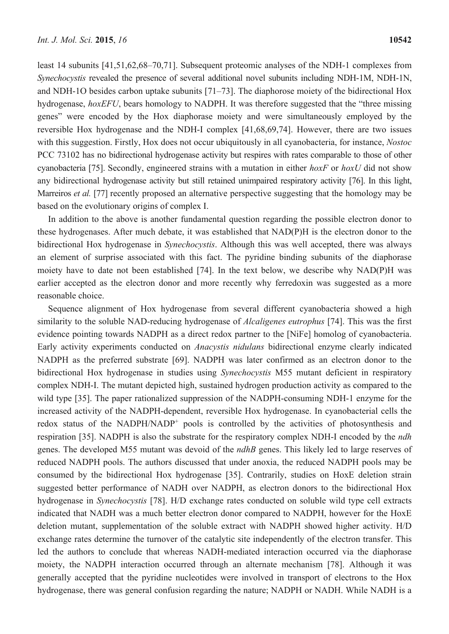least 14 subunits [41,51,62,68–70,71]. Subsequent proteomic analyses of the NDH-1 complexes from *Synechocystis* revealed the presence of several additional novel subunits including NDH-1M, NDH-1N, and NDH-1O besides carbon uptake subunits [71–73]. The diaphorose moiety of the bidirectional Hox hydrogenase, *hoxEFU*, bears homology to NADPH. It was therefore suggested that the "three missing genes" were encoded by the Hox diaphorase moiety and were simultaneously employed by the reversible Hox hydrogenase and the NDH-I complex [41,68,69,74]. However, there are two issues with this suggestion. Firstly, Hox does not occur ubiquitously in all cyanobacteria, for instance, *Nostoc*  PCC 73102 has no bidirectional hydrogenase activity but respires with rates comparable to those of other cyanobacteria [75]. Secondly, engineered strains with a mutation in either *hoxF* or *hoxU* did not show any bidirectional hydrogenase activity but still retained unimpaired respiratory activity [76]. In this light, Marreiros *et al.* [77] recently proposed an alternative perspective suggesting that the homology may be based on the evolutionary origins of complex I.

In addition to the above is another fundamental question regarding the possible electron donor to these hydrogenases. After much debate, it was established that NAD(P)H is the electron donor to the bidirectional Hox hydrogenase in *Synechocystis*. Although this was well accepted, there was always an element of surprise associated with this fact. The pyridine binding subunits of the diaphorase moiety have to date not been established [74]. In the text below, we describe why NAD(P)H was earlier accepted as the electron donor and more recently why ferredoxin was suggested as a more reasonable choice.

Sequence alignment of Hox hydrogenase from several different cyanobacteria showed a high similarity to the soluble NAD-reducing hydrogenase of *Alcaligenes eutrophus* [74]. This was the first evidence pointing towards NADPH as a direct redox partner to the [NiFe] homolog of cyanobacteria. Early activity experiments conducted on *Anacystis nidulans* bidirectional enzyme clearly indicated NADPH as the preferred substrate [69]. NADPH was later confirmed as an electron donor to the bidirectional Hox hydrogenase in studies using *Synechocystis* M55 mutant deficient in respiratory complex NDH-I. The mutant depicted high, sustained hydrogen production activity as compared to the wild type [35]. The paper rationalized suppression of the NADPH-consuming NDH-1 enzyme for the increased activity of the NADPH-dependent, reversible Hox hydrogenase. In cyanobacterial cells the redox status of the NADPH/NADP<sup>+</sup> pools is controlled by the activities of photosynthesis and respiration [35]. NADPH is also the substrate for the respiratory complex NDH-I encoded by the *ndh* genes. The developed M55 mutant was devoid of the *ndhB* genes. This likely led to large reserves of reduced NADPH pools. The authors discussed that under anoxia, the reduced NADPH pools may be consumed by the bidirectional Hox hydrogenase [35]. Contrarily, studies on HoxE deletion strain suggested better performance of NADH over NADPH, as electron donors to the bidirectional Hox hydrogenase in *Synechocystis* [78]. H/D exchange rates conducted on soluble wild type cell extracts indicated that NADH was a much better electron donor compared to NADPH, however for the HoxE deletion mutant, supplementation of the soluble extract with NADPH showed higher activity. H/D exchange rates determine the turnover of the catalytic site independently of the electron transfer. This led the authors to conclude that whereas NADH-mediated interaction occurred via the diaphorase moiety, the NADPH interaction occurred through an alternate mechanism [78]. Although it was generally accepted that the pyridine nucleotides were involved in transport of electrons to the Hox hydrogenase, there was general confusion regarding the nature; NADPH or NADH. While NADH is a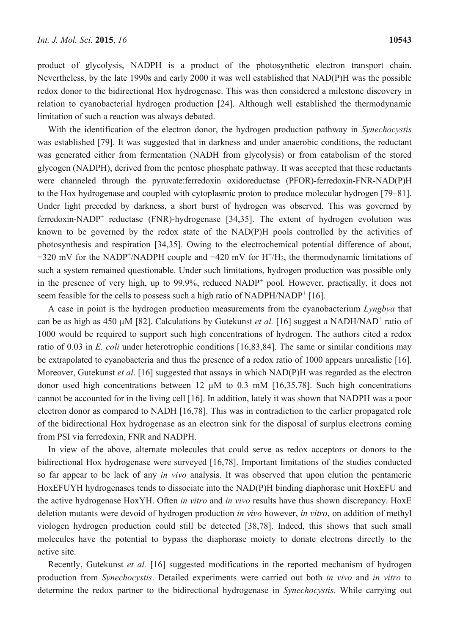product of glycolysis, NADPH is a product of the photosynthetic electron transport chain. Nevertheless, by the late 1990s and early 2000 it was well established that NAD(P)H was the possible redox donor to the bidirectional Hox hydrogenase. This was then considered a milestone discovery in relation to cyanobacterial hydrogen production [24]. Although well established the thermodynamic limitation of such a reaction was always debated.

With the identification of the electron donor, the hydrogen production pathway in *Synechocystis* was established [79]. It was suggested that in darkness and under anaerobic conditions, the reductant was generated either from fermentation (NADH from glycolysis) or from catabolism of the stored glycogen (NADPH), derived from the pentose phosphate pathway. It was accepted that these reductants were channeled through the pyruvate:ferredoxin oxidoreductase (PFOR)-ferredoxin-FNR-NAD(P)H to the Hox hydrogenase and coupled with cytoplasmic proton to produce molecular hydrogen [79–81]. Under light preceded by darkness, a short burst of hydrogen was observed. This was governed by ferredoxin-NADP<sup>+</sup> reductase (FNR)-hydrogenase [34,35]. The extent of hydrogen evolution was known to be governed by the redox state of the NAD(P)H pools controlled by the activities of photosynthesis and respiration [34,35]. Owing to the electrochemical potential difference of about, −320 mV for the NADP+ /NADPH couple and −420 mV for H+ /H2, the thermodynamic limitations of such a system remained questionable. Under such limitations, hydrogen production was possible only in the presence of very high, up to 99.9%, reduced NADP<sup>+</sup> pool. However, practically, it does not seem feasible for the cells to possess such a high ratio of NADPH/NADP<sup>+</sup> [16].

A case in point is the hydrogen production measurements from the cyanobacterium *Lyngbya* that can be as high as 450  $\mu$ M [82]. Calculations by Gutekunst *et al.* [16] suggest a NADH/NAD<sup>+</sup> ratio of 1000 would be required to support such high concentrations of hydrogen. The authors cited a redox ratio of 0.03 in *E. coli* under heterotrophic conditions [16,83,84]. The same or similar conditions may be extrapolated to cyanobacteria and thus the presence of a redox ratio of 1000 appears unrealistic [16]. Moreover, Gutekunst *et al*. [16] suggested that assays in which NAD(P)H was regarded as the electron donor used high concentrations between 12  $\mu$ M to 0.3 mM [16,35,78]. Such high concentrations cannot be accounted for in the living cell [16]. In addition, lately it was shown that NADPH was a poor electron donor as compared to NADH [16,78]. This was in contradiction to the earlier propagated role of the bidirectional Hox hydrogenase as an electron sink for the disposal of surplus electrons coming from PSI via ferredoxin, FNR and NADPH.

In view of the above, alternate molecules that could serve as redox acceptors or donors to the bidirectional Hox hydrogenase were surveyed [16,78]. Important limitations of the studies conducted so far appear to be lack of any *in vivo* analysis. It was observed that upon elution the pentameric HoxEFUYH hydrogenases tends to dissociate into the NAD(P)H binding diaphorase unit HoxEFU and the active hydrogenase HoxYH. Often *in vitro* and *in vivo* results have thus shown discrepancy. HoxE deletion mutants were devoid of hydrogen production *in vivo* however, *in vitro*, on addition of methyl viologen hydrogen production could still be detected [38,78]. Indeed, this shows that such small molecules have the potential to bypass the diaphorase moiety to donate electrons directly to the active site.

Recently, Gutekunst *et al.* [16] suggested modifications in the reported mechanism of hydrogen production from *Synechocystis*. Detailed experiments were carried out both *in vivo* and *in vitro* to determine the redox partner to the bidirectional hydrogenase in *Synechocystis*. While carrying out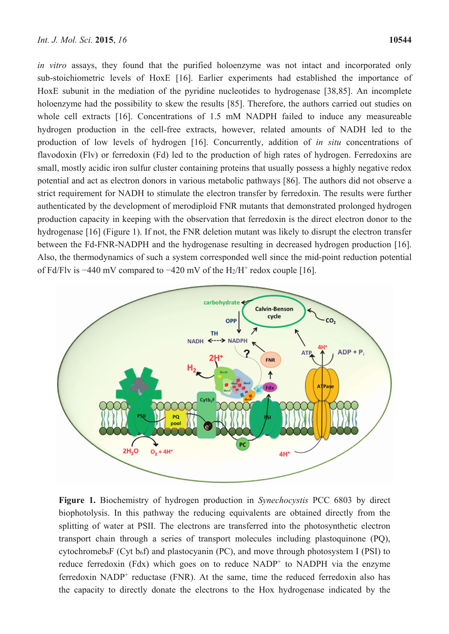*in vitro* assays, they found that the purified holoenzyme was not intact and incorporated only sub-stoichiometric levels of HoxE [16]. Earlier experiments had established the importance of HoxE subunit in the mediation of the pyridine nucleotides to hydrogenase [38,85]. An incomplete holoenzyme had the possibility to skew the results [85]. Therefore, the authors carried out studies on whole cell extracts [16]. Concentrations of 1.5 mM NADPH failed to induce any measureable hydrogen production in the cell-free extracts, however, related amounts of NADH led to the production of low levels of hydrogen [16]. Concurrently, addition of *in situ* concentrations of flavodoxin (Flv) or ferredoxin (Fd) led to the production of high rates of hydrogen. Ferredoxins are small, mostly acidic iron sulfur cluster containing proteins that usually possess a highly negative redox potential and act as electron donors in various metabolic pathways [86]. The authors did not observe a strict requirement for NADH to stimulate the electron transfer by ferredoxin. The results were further authenticated by the development of merodiploid FNR mutants that demonstrated prolonged hydrogen production capacity in keeping with the observation that ferredoxin is the direct electron donor to the hydrogenase [16] (Figure 1). If not, the FNR deletion mutant was likely to disrupt the electron transfer between the Fd-FNR-NADPH and the hydrogenase resulting in decreased hydrogen production [16]. Also, the thermodynamics of such a system corresponded well since the mid-point reduction potential of Fd/Flv is  $-440$  mV compared to  $-420$  mV of the H<sub>2</sub>/H<sup>+</sup> redox couple [16].



**Figure 1.** Biochemistry of hydrogen production in *Synechocystis* PCC 6803 by direct biophotolysis. In this pathway the reducing equivalents are obtained directly from the splitting of water at PSII. The electrons are transferred into the photosynthetic electron transport chain through a series of transport molecules including plastoquinone (PQ), cytochromeb $\delta$ F (Cyt b $\delta$ f) and plastocyanin (PC), and move through photosystem I (PSI) to reduce ferredoxin (Fdx) which goes on to reduce  $NADP<sup>+</sup>$  to  $NADPH$  via the enzyme ferredoxin  $NADP<sup>+</sup>$  reductase (FNR). At the same, time the reduced ferredoxin also has the capacity to directly donate the electrons to the Hox hydrogenase indicated by the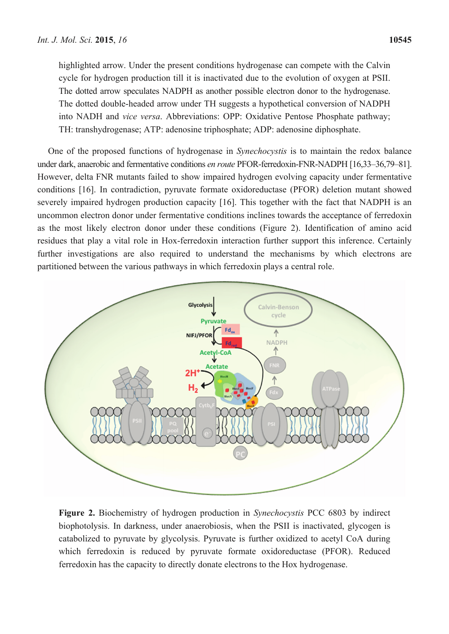highlighted arrow. Under the present conditions hydrogenase can compete with the Calvin cycle for hydrogen production till it is inactivated due to the evolution of oxygen at PSII. The dotted arrow speculates NADPH as another possible electron donor to the hydrogenase. The dotted double-headed arrow under TH suggests a hypothetical conversion of NADPH into NADH and *vice versa*. Abbreviations: OPP: Oxidative Pentose Phosphate pathway; TH: transhydrogenase; ATP: adenosine triphosphate; ADP: adenosine diphosphate.

One of the proposed functions of hydrogenase in *Synechocystis* is to maintain the redox balance under dark, anaerobic and fermentative conditions *en route* PFOR-ferredoxin-FNR-NADPH [16,33–36,79–81]. However, delta FNR mutants failed to show impaired hydrogen evolving capacity under fermentative conditions [16]. In contradiction, pyruvate formate oxidoreductase (PFOR) deletion mutant showed severely impaired hydrogen production capacity [16]. This together with the fact that NADPH is an uncommon electron donor under fermentative conditions inclines towards the acceptance of ferredoxin as the most likely electron donor under these conditions (Figure 2). Identification of amino acid residues that play a vital role in Hox-ferredoxin interaction further support this inference. Certainly further investigations are also required to understand the mechanisms by which electrons are partitioned between the various pathways in which ferredoxin plays a central role.



**Figure 2.** Biochemistry of hydrogen production in *Synechocystis* PCC 6803 by indirect biophotolysis. In darkness, under anaerobiosis, when the PSII is inactivated, glycogen is catabolized to pyruvate by glycolysis. Pyruvate is further oxidized to acetyl CoA during which ferredoxin is reduced by pyruvate formate oxidoreductase (PFOR). Reduced ferredoxin has the capacity to directly donate electrons to the Hox hydrogenase.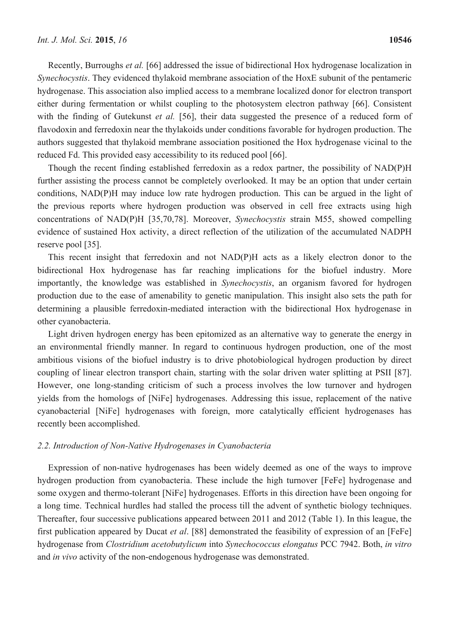Recently, Burroughs *et al.* [66] addressed the issue of bidirectional Hox hydrogenase localization in *Synechocystis*. They evidenced thylakoid membrane association of the HoxE subunit of the pentameric hydrogenase. This association also implied access to a membrane localized donor for electron transport either during fermentation or whilst coupling to the photosystem electron pathway [66]. Consistent with the finding of Gutekunst *et al.* [56], their data suggested the presence of a reduced form of flavodoxin and ferredoxin near the thylakoids under conditions favorable for hydrogen production. The authors suggested that thylakoid membrane association positioned the Hox hydrogenase vicinal to the reduced Fd. This provided easy accessibility to its reduced pool [66].

Though the recent finding established ferredoxin as a redox partner, the possibility of NAD(P)H further assisting the process cannot be completely overlooked. It may be an option that under certain conditions, NAD(P)H may induce low rate hydrogen production. This can be argued in the light of the previous reports where hydrogen production was observed in cell free extracts using high concentrations of NAD(P)H [35,70,78]. Moreover, *Synechocystis* strain M55, showed compelling evidence of sustained Hox activity, a direct reflection of the utilization of the accumulated NADPH reserve pool [35].

This recent insight that ferredoxin and not NAD(P)H acts as a likely electron donor to the bidirectional Hox hydrogenase has far reaching implications for the biofuel industry. More importantly, the knowledge was established in *Synechocystis*, an organism favored for hydrogen production due to the ease of amenability to genetic manipulation. This insight also sets the path for determining a plausible ferredoxin-mediated interaction with the bidirectional Hox hydrogenase in other cyanobacteria.

Light driven hydrogen energy has been epitomized as an alternative way to generate the energy in an environmental friendly manner. In regard to continuous hydrogen production, one of the most ambitious visions of the biofuel industry is to drive photobiological hydrogen production by direct coupling of linear electron transport chain, starting with the solar driven water splitting at PSII [87]. However, one long-standing criticism of such a process involves the low turnover and hydrogen yields from the homologs of [NiFe] hydrogenases. Addressing this issue, replacement of the native cyanobacterial [NiFe] hydrogenases with foreign, more catalytically efficient hydrogenases has recently been accomplished.

## *2.2. Introduction of Non-Native Hydrogenases in Cyanobacteria*

Expression of non-native hydrogenases has been widely deemed as one of the ways to improve hydrogen production from cyanobacteria. These include the high turnover [FeFe] hydrogenase and some oxygen and thermo-tolerant [NiFe] hydrogenases. Efforts in this direction have been ongoing for a long time. Technical hurdles had stalled the process till the advent of synthetic biology techniques. Thereafter, four successive publications appeared between 2011 and 2012 (Table 1). In this league, the first publication appeared by Ducat *et al*. [88] demonstrated the feasibility of expression of an [FeFe] hydrogenase from *Clostridium acetobutylicum* into *Synechococcus elongatus* PCC 7942. Both, *in vitro* and *in vivo* activity of the non-endogenous hydrogenase was demonstrated.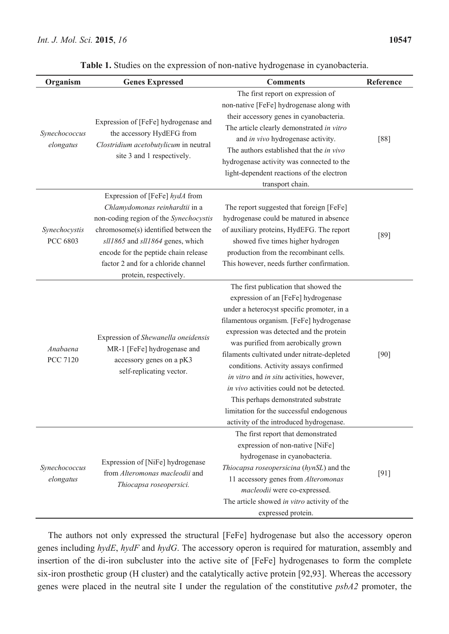| Organism                    | <b>Genes Expressed</b>                                                                                                                                                                                                                                                                          | <b>Comments</b>                                                                                                                                                                                                                                                                                                                                                                                                                                                                                                                                                          | Reference |
|-----------------------------|-------------------------------------------------------------------------------------------------------------------------------------------------------------------------------------------------------------------------------------------------------------------------------------------------|--------------------------------------------------------------------------------------------------------------------------------------------------------------------------------------------------------------------------------------------------------------------------------------------------------------------------------------------------------------------------------------------------------------------------------------------------------------------------------------------------------------------------------------------------------------------------|-----------|
| Synechococcus<br>elongatus  | Expression of [FeFe] hydrogenase and<br>the accessory HydEFG from<br>Clostridium acetobutylicum in neutral<br>site 3 and 1 respectively.                                                                                                                                                        | The first report on expression of<br>non-native [FeFe] hydrogenase along with<br>their accessory genes in cyanobacteria.<br>The article clearly demonstrated in vitro<br>and in vivo hydrogenase activity.<br>The authors established that the in vivo<br>hydrogenase activity was connected to the<br>light-dependent reactions of the electron<br>transport chain.                                                                                                                                                                                                     | $[88]$    |
| Synechocystis<br>PCC 6803   | Expression of [FeFe] hydA from<br>Chlamydomonas reinhardtii in a<br>non-coding region of the Synechocystis<br>chromosome(s) identified between the<br>sll1865 and sll1864 genes, which<br>encode for the peptide chain release<br>factor 2 and for a chloride channel<br>protein, respectively. | The report suggested that foreign [FeFe]<br>hydrogenase could be matured in absence<br>of auxiliary proteins, HydEFG. The report<br>showed five times higher hydrogen<br>production from the recombinant cells.<br>This however, needs further confirmation.                                                                                                                                                                                                                                                                                                             | $[89]$    |
| Anabaena<br><b>PCC 7120</b> | Expression of Shewanella oneidensis<br>MR-1 [FeFe] hydrogenase and<br>accessory genes on a pK3<br>self-replicating vector.                                                                                                                                                                      | The first publication that showed the<br>expression of an [FeFe] hydrogenase<br>under a heterocyst specific promoter, in a<br>filamentous organism. [FeFe] hydrogenase<br>expression was detected and the protein<br>was purified from aerobically grown<br>filaments cultivated under nitrate-depleted<br>conditions. Activity assays confirmed<br>in vitro and in situ activities, however,<br>in vivo activities could not be detected.<br>This perhaps demonstrated substrate<br>limitation for the successful endogenous<br>activity of the introduced hydrogenase. | $[90]$    |
| Synechococcus<br>elongatus  | Expression of [NiFe] hydrogenase<br>from Alteromonas macleodii and<br>Thiocapsa roseopersici.                                                                                                                                                                                                   | The first report that demonstrated<br>expression of non-native [NiFe]<br>hydrogenase in cyanobacteria.<br>Thiocapsa roseopersicina (hynSL) and the<br>11 accessory genes from Alteromonas<br>macleodii were co-expressed.<br>The article showed in vitro activity of the<br>expressed protein.                                                                                                                                                                                                                                                                           | [91]      |

**Table 1.** Studies on the expression of non-native hydrogenase in cyanobacteria.

The authors not only expressed the structural [FeFe] hydrogenase but also the accessory operon genes including *hydE*, *hydF* and *hydG*. The accessory operon is required for maturation, assembly and insertion of the di-iron subcluster into the active site of [FeFe] hydrogenases to form the complete six-iron prosthetic group (H cluster) and the catalytically active protein [92,93]. Whereas the accessory genes were placed in the neutral site I under the regulation of the constitutive *psbA2* promoter, the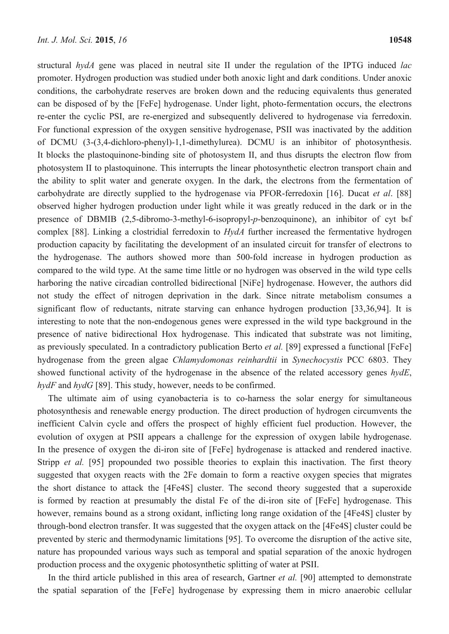structural *hydA* gene was placed in neutral site II under the regulation of the IPTG induced *lac* promoter. Hydrogen production was studied under both anoxic light and dark conditions. Under anoxic conditions, the carbohydrate reserves are broken down and the reducing equivalents thus generated can be disposed of by the [FeFe] hydrogenase. Under light, photo-fermentation occurs, the electrons re-enter the cyclic PSI, are re-energized and subsequently delivered to hydrogenase via ferredoxin. For functional expression of the oxygen sensitive hydrogenase, PSII was inactivated by the addition of DCMU (3-(3,4-dichloro-phenyl)-1,1-dimethylurea). DCMU is an inhibitor of photosynthesis. It blocks the plastoquinone-binding site of photosystem II, and thus disrupts the electron flow from photosystem II to plastoquinone. This interrupts the linear photosynthetic electron transport chain and the ability to split water and generate oxygen. In the dark, the electrons from the fermentation of carbohydrate are directly supplied to the hydrogenase via PFOR-ferredoxin [16]. Ducat *et al*. [88] observed higher hydrogen production under light while it was greatly reduced in the dark or in the presence of DBMIB (2,5-dibromo-3-methyl-6-isopropyl-p-benzoquinone), an inhibitor of cyt b<sub>6</sub>f complex [88]. Linking a clostridial ferredoxin to *HydA* further increased the fermentative hydrogen production capacity by facilitating the development of an insulated circuit for transfer of electrons to the hydrogenase. The authors showed more than 500-fold increase in hydrogen production as compared to the wild type. At the same time little or no hydrogen was observed in the wild type cells harboring the native circadian controlled bidirectional [NiFe] hydrogenase. However, the authors did not study the effect of nitrogen deprivation in the dark. Since nitrate metabolism consumes a significant flow of reductants, nitrate starving can enhance hydrogen production [33,36,94]. It is interesting to note that the non-endogenous genes were expressed in the wild type background in the presence of native bidirectional Hox hydrogenase. This indicated that substrate was not limiting, as previously speculated. In a contradictory publication Berto *et al.* [89] expressed a functional [FeFe] hydrogenase from the green algae *Chlamydomonas reinhardtii* in *Synechocystis* PCC 6803. They showed functional activity of the hydrogenase in the absence of the related accessory genes *hydE*, *hydF* and *hydG* [89]. This study, however, needs to be confirmed.

The ultimate aim of using cyanobacteria is to co-harness the solar energy for simultaneous photosynthesis and renewable energy production. The direct production of hydrogen circumvents the inefficient Calvin cycle and offers the prospect of highly efficient fuel production. However, the evolution of oxygen at PSII appears a challenge for the expression of oxygen labile hydrogenase. In the presence of oxygen the di-iron site of [FeFe] hydrogenase is attacked and rendered inactive. Stripp *et al.* [95] propounded two possible theories to explain this inactivation. The first theory suggested that oxygen reacts with the 2Fe domain to form a reactive oxygen species that migrates the short distance to attack the [4Fe4S] cluster. The second theory suggested that a superoxide is formed by reaction at presumably the distal Fe of the di-iron site of [FeFe] hydrogenase. This however, remains bound as a strong oxidant, inflicting long range oxidation of the [4Fe4S] cluster by through-bond electron transfer. It was suggested that the oxygen attack on the [4Fe4S] cluster could be prevented by steric and thermodynamic limitations [95]. To overcome the disruption of the active site, nature has propounded various ways such as temporal and spatial separation of the anoxic hydrogen production process and the oxygenic photosynthetic splitting of water at PSII.

In the third article published in this area of research, Gartner *et al.* [90] attempted to demonstrate the spatial separation of the [FeFe] hydrogenase by expressing them in micro anaerobic cellular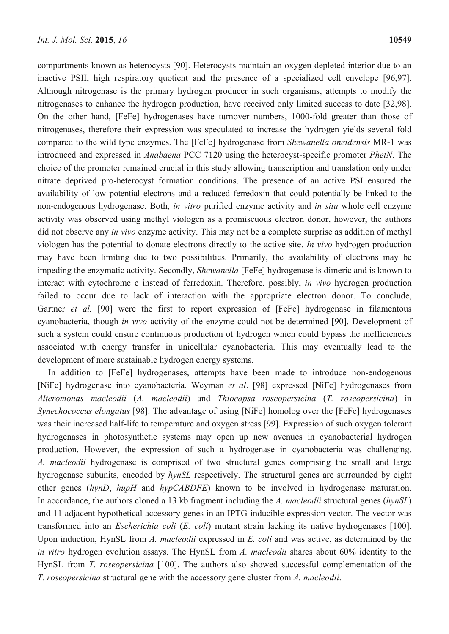compartments known as heterocysts [90]. Heterocysts maintain an oxygen-depleted interior due to an inactive PSII, high respiratory quotient and the presence of a specialized cell envelope [96,97]. Although nitrogenase is the primary hydrogen producer in such organisms, attempts to modify the nitrogenases to enhance the hydrogen production, have received only limited success to date [32,98]. On the other hand, [FeFe] hydrogenases have turnover numbers, 1000-fold greater than those of nitrogenases, therefore their expression was speculated to increase the hydrogen yields several fold compared to the wild type enzymes. The [FeFe] hydrogenase from *Shewanella oneidensis* MR-1 was introduced and expressed in *Anabaena* PCC 7120 using the heterocyst-specific promoter *PhetN*. The choice of the promoter remained crucial in this study allowing transcription and translation only under nitrate deprived pro-heterocyst formation conditions. The presence of an active PSI ensured the availability of low potential electrons and a reduced ferredoxin that could potentially be linked to the non-endogenous hydrogenase. Both, *in vitro* purified enzyme activity and *in situ* whole cell enzyme activity was observed using methyl viologen as a promiscuous electron donor, however, the authors did not observe any *in vivo* enzyme activity. This may not be a complete surprise as addition of methyl viologen has the potential to donate electrons directly to the active site. *In vivo* hydrogen production may have been limiting due to two possibilities. Primarily, the availability of electrons may be impeding the enzymatic activity. Secondly, *Shewanella* [FeFe] hydrogenase is dimeric and is known to interact with cytochrome c instead of ferredoxin. Therefore, possibly, *in vivo* hydrogen production failed to occur due to lack of interaction with the appropriate electron donor. To conclude, Gartner *et al.* [90] were the first to report expression of [FeFe] hydrogenase in filamentous cyanobacteria, though *in vivo* activity of the enzyme could not be determined [90]. Development of such a system could ensure continuous production of hydrogen which could bypass the inefficiencies associated with energy transfer in unicellular cyanobacteria. This may eventually lead to the development of more sustainable hydrogen energy systems.

In addition to [FeFe] hydrogenases, attempts have been made to introduce non-endogenous [NiFe] hydrogenase into cyanobacteria. Weyman *et al*. [98] expressed [NiFe] hydrogenases from *Alteromonas macleodii* (*A. macleodii*) and *Thiocapsa roseopersicina* (*T. roseopersicina*) in *Synechococcus elongatus* [98]. The advantage of using [NiFe] homolog over the [FeFe] hydrogenases was their increased half-life to temperature and oxygen stress [99]. Expression of such oxygen tolerant hydrogenases in photosynthetic systems may open up new avenues in cyanobacterial hydrogen production. However, the expression of such a hydrogenase in cyanobacteria was challenging. *A. macleodii* hydrogenase is comprised of two structural genes comprising the small and large hydrogenase subunits, encoded by *hynSL* respectively. The structural genes are surrounded by eight other genes (*hynD*, *hupH* and *hypCABDFE*) known to be involved in hydrogenase maturation. In accordance, the authors cloned a 13 kb fragment including the *A. macleodii* structural genes (*hynSL*) and 11 adjacent hypothetical accessory genes in an IPTG-inducible expression vector. The vector was transformed into an *Escherichia coli* (*E. coli*) mutant strain lacking its native hydrogenases [100]. Upon induction, HynSL from *A. macleodii* expressed in *E. coli* and was active, as determined by the *in vitro* hydrogen evolution assays. The HynSL from *A. macleodii* shares about 60% identity to the HynSL from *T. roseopersicina* [100]. The authors also showed successful complementation of the *T. roseopersicina* structural gene with the accessory gene cluster from *A. macleodii*.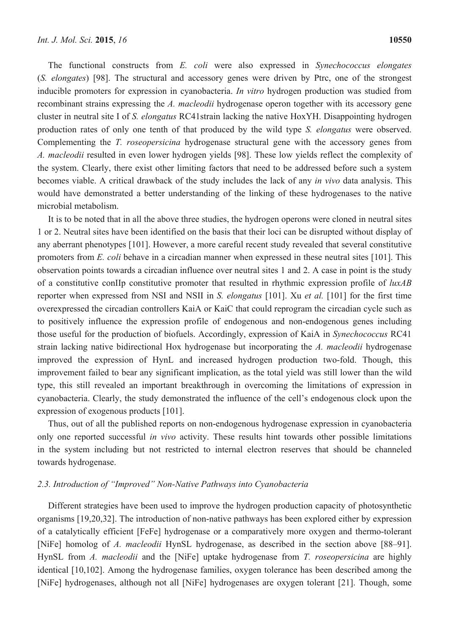The functional constructs from *E. coli* were also expressed in *Synechococcus elongates*  (*S. elongates*) [98]. The structural and accessory genes were driven by Ptrc, one of the strongest inducible promoters for expression in cyanobacteria. *In vitro* hydrogen production was studied from recombinant strains expressing the *A. macleodii* hydrogenase operon together with its accessory gene cluster in neutral site I of *S. elongatus* RC41strain lacking the native HoxYH. Disappointing hydrogen production rates of only one tenth of that produced by the wild type *S. elongatus* were observed. Complementing the *T. roseopersicina* hydrogenase structural gene with the accessory genes from *A. macleodii* resulted in even lower hydrogen yields [98]. These low yields reflect the complexity of the system. Clearly, there exist other limiting factors that need to be addressed before such a system becomes viable. A critical drawback of the study includes the lack of any *in vivo* data analysis. This would have demonstrated a better understanding of the linking of these hydrogenases to the native microbial metabolism.

It is to be noted that in all the above three studies, the hydrogen operons were cloned in neutral sites 1 or 2. Neutral sites have been identified on the basis that their loci can be disrupted without display of any aberrant phenotypes [101]. However, a more careful recent study revealed that several constitutive promoters from *E. coli* behave in a circadian manner when expressed in these neutral sites [101]. This observation points towards a circadian influence over neutral sites 1 and 2. A case in point is the study of a constitutive conIIp constitutive promoter that resulted in rhythmic expression profile of *luxAB*  reporter when expressed from NSI and NSII in *S. elongatus* [101]. Xu *et al.* [101] for the first time overexpressed the circadian controllers KaiA or KaiC that could reprogram the circadian cycle such as to positively influence the expression profile of endogenous and non-endogenous genes including those useful for the production of biofuels. Accordingly, expression of KaiA in *Synechococcus* RC41 strain lacking native bidirectional Hox hydrogenase but incorporating the *A. macleodii* hydrogenase improved the expression of HynL and increased hydrogen production two-fold. Though, this improvement failed to bear any significant implication, as the total yield was still lower than the wild type, this still revealed an important breakthrough in overcoming the limitations of expression in cyanobacteria. Clearly, the study demonstrated the influence of the cell's endogenous clock upon the expression of exogenous products [101].

Thus, out of all the published reports on non-endogenous hydrogenase expression in cyanobacteria only one reported successful *in vivo* activity. These results hint towards other possible limitations in the system including but not restricted to internal electron reserves that should be channeled towards hydrogenase.

## *2.3. Introduction of "Improved" Non-Native Pathways into Cyanobacteria*

Different strategies have been used to improve the hydrogen production capacity of photosynthetic organisms [19,20,32]. The introduction of non-native pathways has been explored either by expression of a catalytically efficient [FeFe] hydrogenase or a comparatively more oxygen and thermo-tolerant [NiFe] homolog of *A. macleodii* HynSL hydrogenase, as described in the section above [88–91]. HynSL from *A. macleodii* and the [NiFe] uptake hydrogenase from *T. roseopersicina* are highly identical [10,102]. Among the hydrogenase families, oxygen tolerance has been described among the [NiFe] hydrogenases, although not all [NiFe] hydrogenases are oxygen tolerant [21]. Though, some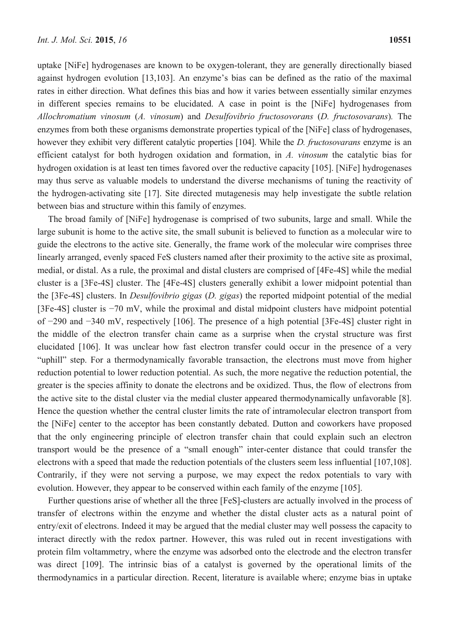uptake [NiFe] hydrogenases are known to be oxygen-tolerant, they are generally directionally biased against hydrogen evolution [13,103]. An enzyme's bias can be defined as the ratio of the maximal rates in either direction. What defines this bias and how it varies between essentially similar enzymes in different species remains to be elucidated. A case in point is the [NiFe] hydrogenases from *Allochromatium vinosum* (*A. vinosum*) and *Desulfovibrio fructosovorans* (*D. fructosovarans*)*.* The enzymes from both these organisms demonstrate properties typical of the [NiFe] class of hydrogenases, however they exhibit very different catalytic properties [104]. While the *D. fructosovarans* enzyme is an efficient catalyst for both hydrogen oxidation and formation, in *A. vinosum* the catalytic bias for hydrogen oxidation is at least ten times favored over the reductive capacity [105]. [NiFe] hydrogenases may thus serve as valuable models to understand the diverse mechanisms of tuning the reactivity of the hydrogen-activating site [17]. Site directed mutagenesis may help investigate the subtle relation between bias and structure within this family of enzymes.

The broad family of [NiFe] hydrogenase is comprised of two subunits, large and small. While the large subunit is home to the active site, the small subunit is believed to function as a molecular wire to guide the electrons to the active site. Generally, the frame work of the molecular wire comprises three linearly arranged, evenly spaced FeS clusters named after their proximity to the active site as proximal, medial, or distal. As a rule, the proximal and distal clusters are comprised of [4Fe-4S] while the medial cluster is a [3Fe-4S] cluster. The [4Fe-4S] clusters generally exhibit a lower midpoint potential than the [3Fe-4S] clusters. In *Desulfovibrio gigas* (*D. gigas*) the reported midpoint potential of the medial [3Fe-4S] cluster is −70 mV, while the proximal and distal midpoint clusters have midpoint potential of −290 and −340 mV, respectively [106]. The presence of a high potential [3Fe-4S] cluster right in the middle of the electron transfer chain came as a surprise when the crystal structure was first elucidated [106]. It was unclear how fast electron transfer could occur in the presence of a very "uphill" step. For a thermodynamically favorable transaction, the electrons must move from higher reduction potential to lower reduction potential. As such, the more negative the reduction potential, the greater is the species affinity to donate the electrons and be oxidized. Thus, the flow of electrons from the active site to the distal cluster via the medial cluster appeared thermodynamically unfavorable [8]. Hence the question whether the central cluster limits the rate of intramolecular electron transport from the [NiFe] center to the acceptor has been constantly debated. Dutton and coworkers have proposed that the only engineering principle of electron transfer chain that could explain such an electron transport would be the presence of a "small enough" inter-center distance that could transfer the electrons with a speed that made the reduction potentials of the clusters seem less influential [107,108]. Contrarily, if they were not serving a purpose, we may expect the redox potentials to vary with evolution. However, they appear to be conserved within each family of the enzyme [105].

Further questions arise of whether all the three [FeS]-clusters are actually involved in the process of transfer of electrons within the enzyme and whether the distal cluster acts as a natural point of entry/exit of electrons. Indeed it may be argued that the medial cluster may well possess the capacity to interact directly with the redox partner. However, this was ruled out in recent investigations with protein film voltammetry, where the enzyme was adsorbed onto the electrode and the electron transfer was direct [109]. The intrinsic bias of a catalyst is governed by the operational limits of the thermodynamics in a particular direction. Recent, literature is available where; enzyme bias in uptake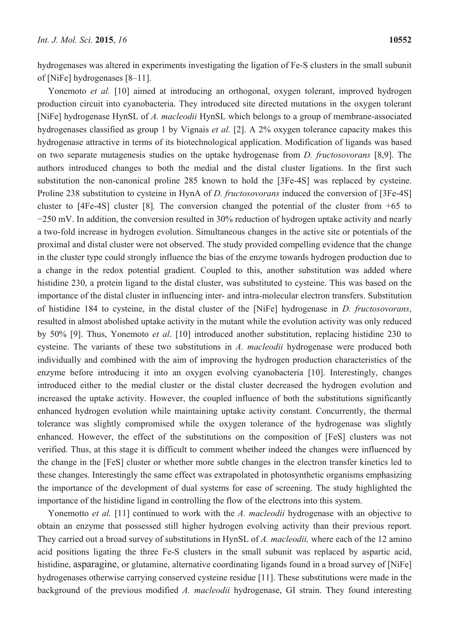hydrogenases was altered in experiments investigating the ligation of Fe-S clusters in the small subunit of [NiFe] hydrogenases [8–11].

Yonemoto *et al.* [10] aimed at introducing an orthogonal, oxygen tolerant, improved hydrogen production circuit into cyanobacteria. They introduced site directed mutations in the oxygen tolerant [NiFe] hydrogenase HynSL of *A. macleodii* HynSL which belongs to a group of membrane-associated hydrogenases classified as group 1 by Vignais *et al.* [2]. A 2% oxygen tolerance capacity makes this hydrogenase attractive in terms of its biotechnological application. Modification of ligands was based on two separate mutagenesis studies on the uptake hydrogenase from *D. fructosovorans* [8,9]. The authors introduced changes to both the medial and the distal cluster ligations. In the first such substitution the non-canonical proline 285 known to hold the [3Fe-4S] was replaced by cysteine. Proline 238 substitution to cysteine in HynA of *D. fructosovorans* induced the conversion of [3Fe-4S] cluster to [4Fe-4S] cluster [8]*.* The conversion changed the potential of the cluster from +65 to −250 mV. In addition, the conversion resulted in 30% reduction of hydrogen uptake activity and nearly a two-fold increase in hydrogen evolution. Simultaneous changes in the active site or potentials of the proximal and distal cluster were not observed. The study provided compelling evidence that the change in the cluster type could strongly influence the bias of the enzyme towards hydrogen production due to a change in the redox potential gradient. Coupled to this, another substitution was added where histidine 230, a protein ligand to the distal cluster, was substituted to cysteine. This was based on the importance of the distal cluster in influencing inter- and intra-molecular electron transfers. Substitution of histidine 184 to cysteine, in the distal cluster of the [NiFe] hydrogenase in *D. fructosovorans*, resulted in almost abolished uptake activity in the mutant while the evolution activity was only reduced by 50% [9]. Thus, Yonemoto *et al*. [10] introduced another substitution, replacing histidine 230 to cysteine. The variants of these two substitutions in *A. macleodii* hydrogenase were produced both individually and combined with the aim of improving the hydrogen production characteristics of the enzyme before introducing it into an oxygen evolving cyanobacteria [10]. Interestingly, changes introduced either to the medial cluster or the distal cluster decreased the hydrogen evolution and increased the uptake activity. However, the coupled influence of both the substitutions significantly enhanced hydrogen evolution while maintaining uptake activity constant. Concurrently, the thermal tolerance was slightly compromised while the oxygen tolerance of the hydrogenase was slightly enhanced. However, the effect of the substitutions on the composition of [FeS] clusters was not verified. Thus, at this stage it is difficult to comment whether indeed the changes were influenced by the change in the [FeS] cluster or whether more subtle changes in the electron transfer kinetics led to these changes. Interestingly the same effect was extrapolated in photosynthetic organisms emphasizing the importance of the development of dual systems for ease of screening. The study highlighted the importance of the histidine ligand in controlling the flow of the electrons into this system.

Yonemotto *et al.* [11] continued to work with the *A. macleodii* hydrogenase with an objective to obtain an enzyme that possessed still higher hydrogen evolving activity than their previous report. They carried out a broad survey of substitutions in HynSL of *A. macleodii,* where each of the 12 amino acid positions ligating the three Fe-S clusters in the small subunit was replaced by aspartic acid, histidine, asparagine, or glutamine, alternative coordinating ligands found in a broad survey of [NiFe] hydrogenases otherwise carrying conserved cysteine residue [11]. These substitutions were made in the background of the previous modified *A. macleodii* hydrogenase, GI strain. They found interesting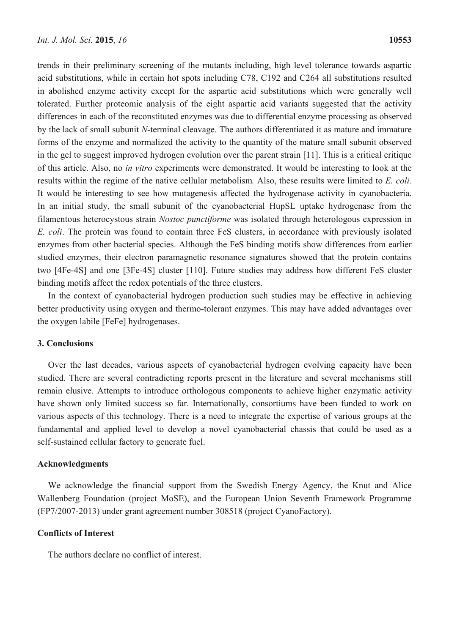trends in their preliminary screening of the mutants including, high level tolerance towards aspartic acid substitutions, while in certain hot spots including C78, C192 and C264 all substitutions resulted in abolished enzyme activity except for the aspartic acid substitutions which were generally well tolerated. Further proteomic analysis of the eight aspartic acid variants suggested that the activity differences in each of the reconstituted enzymes was due to differential enzyme processing as observed by the lack of small subunit *N*-terminal cleavage. The authors differentiated it as mature and immature forms of the enzyme and normalized the activity to the quantity of the mature small subunit observed in the gel to suggest improved hydrogen evolution over the parent strain [11]. This is a critical critique of this article. Also, no *in vitro* experiments were demonstrated. It would be interesting to look at the results within the regime of the native cellular metabolism*.* Also, these results were limited to *E. coli.* It would be interesting to see how mutagenesis affected the hydrogenase activity in cyanobacteria. In an initial study, the small subunit of the cyanobacterial HupSL uptake hydrogenase from the filamentous heterocystous strain *Nostoc punctiforme* was isolated through heterologous expression in *E. coli*. The protein was found to contain three FeS clusters, in accordance with previously isolated enzymes from other bacterial species. Although the FeS binding motifs show differences from earlier studied enzymes, their electron paramagnetic resonance signatures showed that the protein contains two [4Fe-4S] and one [3Fe-4S] cluster [110]. Future studies may address how different FeS cluster binding motifs affect the redox potentials of the three clusters.

In the context of cyanobacterial hydrogen production such studies may be effective in achieving better productivity using oxygen and thermo-tolerant enzymes. This may have added advantages over the oxygen labile [FeFe] hydrogenases.

## **3. Conclusions**

Over the last decades, various aspects of cyanobacterial hydrogen evolving capacity have been studied. There are several contradicting reports present in the literature and several mechanisms still remain elusive. Attempts to introduce orthologous components to achieve higher enzymatic activity have shown only limited success so far. Internationally, consortiums have been funded to work on various aspects of this technology. There is a need to integrate the expertise of various groups at the fundamental and applied level to develop a novel cyanobacterial chassis that could be used as a self-sustained cellular factory to generate fuel.

### **Acknowledgments**

We acknowledge the financial support from the Swedish Energy Agency, the Knut and Alice Wallenberg Foundation (project MoSE), and the European Union Seventh Framework Programme (FP7/2007-2013) under grant agreement number 308518 (project CyanoFactory).

## **Conflicts of Interest**

The authors declare no conflict of interest.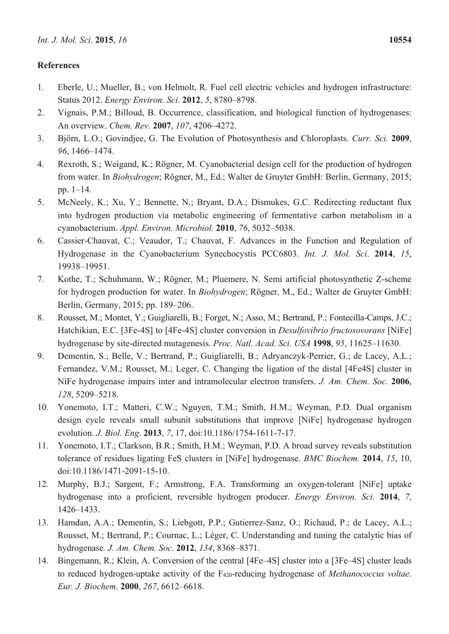# **References**

- 1. Eberle, U.; Mueller, B.; von Helmolt, R. Fuel cell electric vehicles and hydrogen infrastructure: Status 2012. *Energy Environ. Sci*. **2012**, *5*, 8780–8798.
- 2. Vignais, P.M.; Billoud, B. Occurrence, classification, and biological function of hydrogenases: An overview. *Chem. Rev.* **2007**, *107*, 4206–4272.
- 3. Björn, L.O.; Govindjee, G. The Evolution of Photosynthesis and Chloroplasts. *Curr. Sci.* **2009**, *96*, 1466–1474.
- 4. Rexroth, S.; Weigand, K.; Rögner, M. Cyanobacterial design cell for the production of hydrogen from water. In *Biohydrogen*; Rögner, M., Ed.; Walter de Gruyter GmbH: Berlin, Germany, 2015; pp. 1–14.
- 5. McNeely, K.; Xu, Y.; Bennette, N.; Bryant, D.A.; Dismukes, G.C. Redirecting reductant flux into hydrogen production via metabolic engineering of fermentative carbon metabolism in a cyanobacterium. *Appl. Environ. Microbiol.* **2010**, *76*, 5032–5038.
- 6. Cassier-Chauvat, C.; Veaudor, T.; Chauvat, F. Advances in the Function and Regulation of Hydrogenase in the Cyanobacterium Synechocystis PCC6803. *Int. J. Mol. Sci*. **2014**, *15*, 19938–19951.
- 7. Kothe, T.; Schuhmann, W.; Rögner, M.; Pluemere, N. Semi artificial photosynthetic Z-scheme for hydrogen production for water. In *Biohydrogen*; Rögner, M., Ed.; Walter de Gruyter GmbH: Berlin, Germany, 2015; pp. 189–206.
- 8. Rousset, M.; Montet, Y.; Guigliarelli, B.; Forget, N.; Asso, M.; Bertrand, P.; Fontecilla-Camps, J.C.; Hatchikian, E.C. [3Fe-4S] to [4Fe-4S] cluster conversion in *Desulfovibrio fructosovorans* [NiFe] hydrogenase by site-directed mutagenesis. *Proc. Natl. Acad. Sci. USA* **1998**, *95*, 11625–11630.
- 9. Dementin, S.; Belle, V.; Bertrand, P.; Guigliarelli, B.; Adryanczyk-Perrier, G.; de Lacey, A.L.; Fernandez, V.M.; Rousset, M.; Leger, C. Changing the ligation of the distal [4Fe4S] cluster in NiFe hydrogenase impairs inter and intramolecular electron transfers. *J. Am. Chem. Soc.* **2006**, *128*, 5209–5218.
- 10. Yonemoto, I.T.; Matteri, C.W.; Nguyen, T.M.; Smith, H.M.; Weyman, P.D. Dual organism design cycle reveals small subunit substitutions that improve [NiFe] hydrogenase hydrogen evolution. *J. Biol. Eng*. **2013**, *7*, 17, doi:10.1186/1754-1611-7-17.
- 11. Yonemoto, I.T.; Clarkson, B.R.; Smith, H.M.; Weyman, P.D. A broad survey reveals substitution tolerance of residues ligating FeS clusters in [NiFe] hydrogenase. *BMC Biochem.* **2014**, *15*, 10, doi:10.1186/1471-2091-15-10.
- 12. Murphy, B.J.; Sargent, F.; Armstrong, F.A. Transforming an oxygen-tolerant [NiFe] uptake hydrogenase into a proficient, reversible hydrogen producer. *Energy Environ. Sci*. **2014**, *7*, 1426–1433.
- 13. Hamdan, A.A.; Dementin, S.; Liebgott, P.P.; Gutierrez-Sanz, O.; Richaud, P.; de Lacey, A.L.; Rousset, M.; Bertrand, P.; Cournac, L.; Léger, C. Understanding and tuning the catalytic bias of hydrogenase*. J. Am. Chem. Soc*. **2012**, *134*, 8368–8371.
- 14. Bingemann, R.; Klein, A. Conversion of the central [4Fe–4S] cluster into a [3Fe–4S] cluster leads to reduced hydrogen-uptake activity of the F420-reducing hydrogenase of *Methanococcus voltae*. *Eur. J. Biochem*. **2000**, *267*, 6612–6618.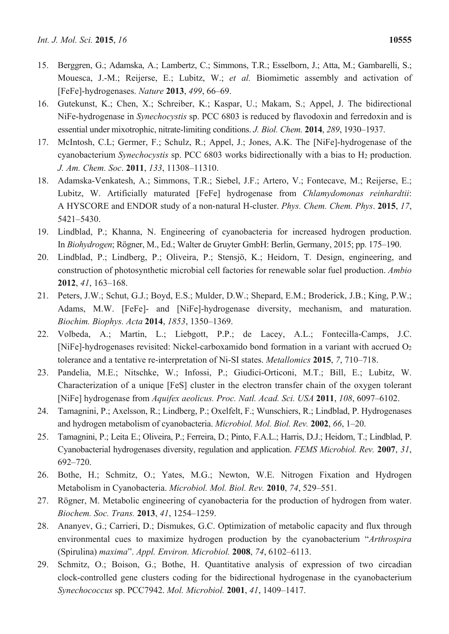- 15. Berggren, G.; Adamska, A.; Lambertz, C.; Simmons, T.R.; Esselborn, J.; Atta, M.; Gambarelli, S.; Mouesca, J.-M.; Reijerse, E.; Lubitz, W.; *et al.* Biomimetic assembly and activation of [FeFe]-hydrogenases. *Nature* **2013**, *499*, 66–69.
- 16. Gutekunst, K.; Chen, X.; Schreiber, K.; Kaspar, U.; Makam, S.; Appel, J. The bidirectional NiFe-hydrogenase in *Synechocystis* sp. PCC 6803 is reduced by flavodoxin and ferredoxin and is essential under mixotrophic, nitrate-limiting conditions. *J. Biol. Chem.* **2014**, *289*, 1930–1937.
- 17. McIntosh, C.L; Germer, F.; Schulz, R.; Appel, J.; Jones, A.K. The [NiFe]-hydrogenase of the cyanobacterium *Synechocystis* sp. PCC 6803 works bidirectionally with a bias to H2 production. *J. Am. Chem. Soc*. **2011**, *133*, 11308–11310.
- 18. Adamska-Venkatesh, A.; Simmons, T.R.; Siebel, J.F.; Artero, V.; Fontecave, M.; Reijerse, E.; Lubitz, W. Artificially maturated [FeFe] hydrogenase from *Chlamydomonas reinhardtii*: A HYSCORE and ENDOR study of a non-natural H-cluster. *Phys. Chem. Chem. Phys*. **2015**, *17*, 5421–5430.
- 19. Lindblad, P.; Khanna, N. Engineering of cyanobacteria for increased hydrogen production. In *Biohydrogen*; Rögner, M., Ed.; Walter de Gruyter GmbH: Berlin, Germany, 2015; pp. 175–190.
- 20. Lindblad, P.; Lindberg, P.; Oliveira, P.; Stensjö, K.; Heidorn, T. Design, engineering, and construction of photosynthetic microbial cell factories for renewable solar fuel production. *Ambio* **2012**, *41*, 163–168.
- 21. Peters, J.W.; Schut, G.J.; Boyd, E.S.; Mulder, D.W.; Shepard, E.M.; Broderick, J.B.; King, P.W.; Adams, M.W. [FeFe]- and [NiFe]-hydrogenase diversity, mechanism, and maturation. *Biochim. Biophys. Acta* **2014**, *1853*, 1350–1369.
- 22. Volbeda, A.; Martin, L.; Liebgott, P.P.; de Lacey, A.L.; Fontecilla-Camps, J.C. [NiFe]-hydrogenases revisited: Nickel-carboxamido bond formation in a variant with accrued O<sub>2</sub> tolerance and a tentative re-interpretation of Ni-SI states. *Metallomics* **2015**, *7*, 710–718.
- 23. Pandelia, M.E.; Nitschke, W.; Infossi, P.; Giudici-Orticoni, M.T.; Bill, E.; Lubitz, W. Characterization of a unique [FeS] cluster in the electron transfer chain of the oxygen tolerant [NiFe] hydrogenase from *Aquifex aeolicus. Proc. Natl. Acad. Sci. USA* **2011**, *108*, 6097–6102.
- 24. Tamagnini, P.; Axelsson, R.; Lindberg, P.; Oxelfelt, F.; Wunschiers, R.; Lindblad, P. Hydrogenases and hydrogen metabolism of cyanobacteria. *Microbiol. Mol. Biol. Rev.* **2002**, *66*, 1–20.
- 25. Tamagnini, P.; Leita E.; Oliveira, P.; Ferreira, D.; Pinto, F.A.L.; Harris, D.J.; Heidorn, T.; Lindblad, P. Cyanobacterial hydrogenases diversity, regulation and application. *FEMS Microbiol. Rev.* **2007**, *31*, 692–720.
- 26. Bothe, H.; Schmitz, O.; Yates, M.G.; Newton, W.E. Nitrogen Fixation and Hydrogen Metabolism in Cyanobacteria. *Microbiol. Mol. Biol. Rev.* **2010**, *74*, 529–551.
- 27. Rögner, M. Metabolic engineering of cyanobacteria for the production of hydrogen from water. *Biochem. Soc. Trans.* **2013**, *41*, 1254–1259.
- 28. Ananyev, G.; Carrieri, D.; Dismukes, G.C. Optimization of metabolic capacity and flux through environmental cues to maximize hydrogen production by the cyanobacterium "*Arthrospira* (Spirulina) *maxima*". *Appl. Environ. Microbiol.* **2008**, *74*, 6102–6113.
- 29. Schmitz, O.; Boison, G.; Bothe, H. Quantitative analysis of expression of two circadian clock-controlled gene clusters coding for the bidirectional hydrogenase in the cyanobacterium *Synechococcus* sp. PCC7942. *Mol. Microbiol.* **2001**, *41*, 1409–1417.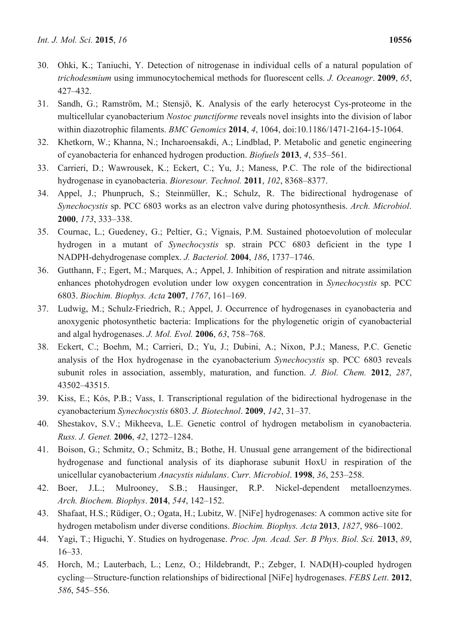- 30. Ohki, K.; Taniuchi, Y. Detection of nitrogenase in individual cells of a natural population of *trichodesmium* using immunocytochemical methods for fluorescent cells. *J. Oceanogr*. **2009**, *65*, 427–432.
- 31. Sandh, G.; Ramström, M.; Stensjö, K. Analysis of the early heterocyst Cys-proteome in the multicellular cyanobacterium *Nostoc punctiforme* reveals novel insights into the division of labor within diazotrophic filaments. *BMC Genomics* **2014**, *4*, 1064, doi:10.1186/1471-2164-15-1064.
- 32. Khetkorn, W.; Khanna, N.; Incharoensakdi, A.; Lindblad, P. Metabolic and genetic engineering of cyanobacteria for enhanced hydrogen production. *Biofuels* **2013**, *4*, 535–561.
- 33. Carrieri, D.; Wawrousek, K.; Eckert, C.; Yu, J.; Maness, P.C. The role of the bidirectional hydrogenase in cyanobacteria. *Bioresour. Technol.* **2011**, *102*, 8368–8377.
- 34. Appel, J.; Phunpruch, S.; Steinmüller, K.; Schulz, R. The bidirectional hydrogenase of *Synechocystis* sp. PCC 6803 works as an electron valve during photosynthesis. *Arch. Microbiol*. **2000**, *173*, 333–338.
- 35. Cournac, L.; Guedeney, G.; Peltier, G.; Vignais, P.M. Sustained photoevolution of molecular hydrogen in a mutant of *Synechocystis* sp. strain PCC 6803 deficient in the type I NADPH-dehydrogenase complex. *J. Bacteriol.* **2004**, *186*, 1737–1746.
- 36. Gutthann, F.; Egert, M.; Marques, A.; Appel, J. Inhibition of respiration and nitrate assimilation enhances photohydrogen evolution under low oxygen concentration in *Synechocystis* sp. PCC 6803. *Biochim. Biophys. Acta* **2007**, *1767*, 161–169.
- 37. Ludwig, M.; Schulz-Friedrich, R.; Appel, J. Occurrence of hydrogenases in cyanobacteria and anoxygenic photosynthetic bacteria: Implications for the phylogenetic origin of cyanobacterial and algal hydrogenases. *J. Mol. Evol.* **2006**, *63*, 758–768.
- 38. Eckert, C.; Boehm, M.; Carrieri, D.; Yu, J.; Dubini, A.; Nixon, P.J.; Maness, P.C. Genetic analysis of the Hox hydrogenase in the cyanobacterium *Synechocystis* sp. PCC 6803 reveals subunit roles in association, assembly, maturation, and function. *J. Biol. Chem.* **2012**, *287*, 43502–43515.
- 39. Kiss, E.; Kós, P.B.; Vass, I. Transcriptional regulation of the bidirectional hydrogenase in the cyanobacterium *Synechocystis* 6803. *J. Biotechnol*. **2009**, *142*, 31–37.
- 40. Shestakov, S.V.; Mikheeva, L.E. Genetic control of hydrogen metabolism in cyanobacteria. *Russ. J. Genet.* **2006**, *42*, 1272–1284.
- 41. Boison, G.; Schmitz, O.; Schmitz, B.; Bothe, H. Unusual gene arrangement of the bidirectional hydrogenase and functional analysis of its diaphorase subunit HoxU in respiration of the unicellular cyanobacterium *Anacystis nidulans*. *Curr. Microbiol*. **1998**, *36*, 253–258.
- 42. Boer, J.L.; Mulrooney, S.B.; Hausinger, R.P. Nickel-dependent metalloenzymes. *Arch. Biochem. Biophys*. **2014**, *544*, 142–152.
- 43. Shafaat, H.S.; Rüdiger, O.; Ogata, H.; Lubitz, W. [NiFe] hydrogenases: A common active site for hydrogen metabolism under diverse conditions. *Biochim. Biophys. Acta* **2013**, *1827*, 986–1002.
- 44. Yagi, T.; Higuchi, Y. Studies on hydrogenase. *Proc. Jpn. Acad. Ser. B Phys. Biol. Sci.* **2013**, *89*, 16–33.
- 45. Horch, M.; Lauterbach, L.; Lenz, O.; Hildebrandt, P.; Zebger, I. NAD(H)-coupled hydrogen cycling—Structure-function relationships of bidirectional [NiFe] hydrogenases. *FEBS Lett*. **2012**, *586*, 545–556.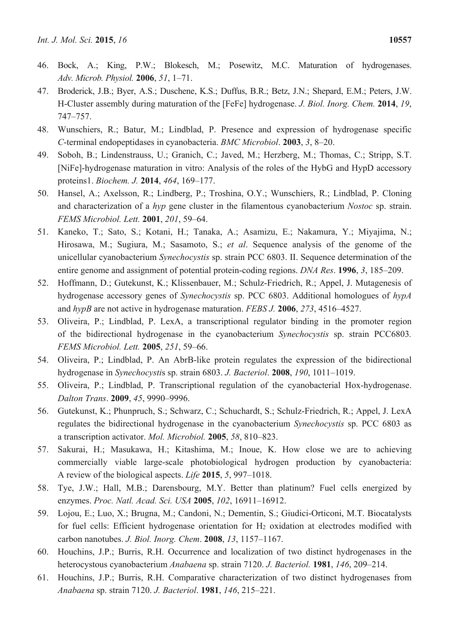- 46. Bock, A.; King, P.W.; Blokesch, M.; Posewitz, M.C. Maturation of hydrogenases. *Adv. Microb. Physiol.* **2006**, *51*, 1–71.
- 47. Broderick, J.B.; Byer, A.S.; Duschene, K.S.; Duffus, B.R.; Betz, J.N.; Shepard, E.M.; Peters, J.W. H-Cluster assembly during maturation of the [FeFe] hydrogenase. *J. Biol. Inorg. Chem.* **2014**, *19*, 747–757.
- 48. Wunschiers, R.; Batur, M.; Lindblad, P. Presence and expression of hydrogenase specific *C*-terminal endopeptidases in cyanobacteria. *BMC Microbiol*. **2003**, *3*, 8–20.
- 49. Soboh, B.; Lindenstrauss, U.; Granich, C.; Javed, M.; Herzberg, M.; Thomas, C.; Stripp, S.T. [NiFe]-hydrogenase maturation in vitro: Analysis of the roles of the HybG and HypD accessory proteins1. *Biochem. J.* **2014**, *464*, 169–177.
- 50. Hansel, A.; Axelsson, R.; Lindberg, P.; Troshina, O.Y.; Wunschiers, R.; Lindblad, P. Cloning and characterization of a *hyp* gene cluster in the filamentous cyanobacterium *Nostoc* sp. strain. *FEMS Microbiol. Lett.* **2001**, *201*, 59–64.
- 51. Kaneko, T.; Sato, S.; Kotani, H.; Tanaka, A.; Asamizu, E.; Nakamura, Y.; Miyajima, N.; Hirosawa, M.; Sugiura, M.; Sasamoto, S.; *et al*. Sequence analysis of the genome of the unicellular cyanobacterium *Synechocystis* sp. strain PCC 6803. II. Sequence determination of the entire genome and assignment of potential protein-coding regions. *DNA Res*. **1996**, *3*, 185–209.
- 52. Hoffmann, D.; Gutekunst, K.; Klissenbauer, M.; Schulz-Friedrich, R.; Appel, J. Mutagenesis of hydrogenase accessory genes of *Synechocystis* sp. PCC 6803. Additional homologues of *hypA* and *hypB* are not active in hydrogenase maturation. *FEBS J.* **2006**, *273*, 4516–4527.
- 53. Oliveira, P.; Lindblad, P. LexA, a transcriptional regulator binding in the promoter region of the bidirectional hydrogenase in the cyanobacterium *Synechocystis* sp. strain PCC6803*. FEMS Microbiol. Lett.* **2005**, *251*, 59–66.
- 54. Oliveira, P.; Lindblad, P. An AbrB-like protein regulates the expression of the bidirectional hydrogenase in *Synechocysti*s sp. strain 6803. *J. Bacteriol*. **2008**, *190*, 1011–1019.
- 55. Oliveira, P.; Lindblad, P. Transcriptional regulation of the cyanobacterial Hox-hydrogenase. *Dalton Trans*. **2009**, *45*, 9990–9996.
- 56. Gutekunst, K.; Phunpruch, S.; Schwarz, C.; Schuchardt, S.; Schulz-Friedrich, R.; Appel, J. LexA regulates the bidirectional hydrogenase in the cyanobacterium *Synechocystis* sp. PCC 6803 as a transcription activator. *Mol. Microbiol.* **2005**, *58*, 810–823.
- 57. Sakurai, H.; Masukawa, H.; Kitashima, M.; Inoue, K. How close we are to achieving commercially viable large-scale photobiological hydrogen production by cyanobacteria: A review of the biological aspects. *Life* **2015**, *5*, 997–1018.
- 58. Tye, J.W.; Hall, M.B.; Darensbourg, M.Y. Better than platinum? Fuel cells energized by enzymes. *Proc. Natl. Acad. Sci. USA* **2005**, *102*, 16911–16912.
- 59. Lojou, E.; Luo, X.; Brugna, M.; Candoni, N.; Dementin, S.; Giudici-Orticoni, M.T. Biocatalysts for fuel cells: Efficient hydrogenase orientation for H<sub>2</sub> oxidation at electrodes modified with carbon nanotubes. *J. Biol. Inorg. Chem*. **2008**, *13*, 1157–1167.
- 60. Houchins, J.P.; Burris, R.H. Occurrence and localization of two distinct hydrogenases in the heterocystous cyanobacterium *Anabaena* sp. strain 7120. *J. Bacteriol.* **1981**, *146*, 209–214.
- 61. Houchins, J.P.; Burris, R.H. Comparative characterization of two distinct hydrogenases from *Anabaena* sp. strain 7120. *J. Bacteriol*. **1981**, *146*, 215–221.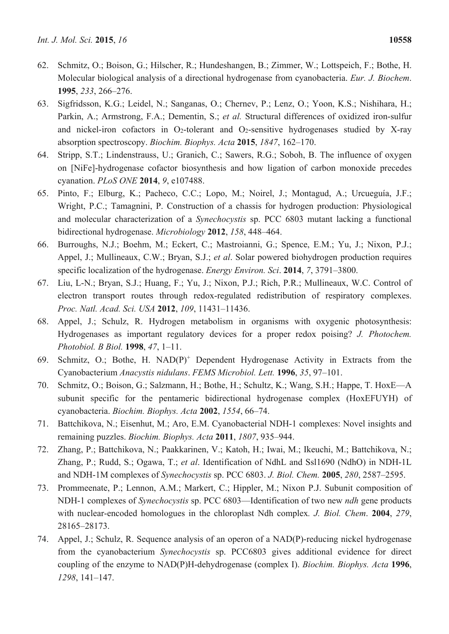- 62. Schmitz, O.; Boison, G.; Hilscher, R.; Hundeshangen, B.; Zimmer, W.; Lottspeich, F.; Bothe, H. Molecular biological analysis of a directional hydrogenase from cyanobacteria. *Eur. J. Biochem*. **1995**, *233*, 266–276.
- 63. Sigfridsson, K.G.; Leidel, N.; Sanganas, O.; Chernev, P.; Lenz, O.; Yoon, K.S.; Nishihara, H.; Parkin, A.; Armstrong, F.A.; Dementin, S.; *et al.* Structural differences of oxidized iron-sulfur and nickel-iron cofactors in  $O_2$ -tolerant and  $O_2$ -sensitive hydrogenases studied by X-ray absorption spectroscopy. *Biochim. Biophys. Acta* **2015**, *1847*, 162–170.
- 64. Stripp, S.T.; Lindenstrauss, U.; Granich, C.; Sawers, R.G.; Soboh, B. The influence of oxygen on [NiFe]-hydrogenase cofactor biosynthesis and how ligation of carbon monoxide precedes cyanation. *PLoS ONE* **2014**, *9*, e107488.
- 65. Pinto, F.; Elburg, K.; Pacheco, C.C.; Lopo, M.; Noirel, J.; Montagud, A.; Urcueguía, J.F.; Wright, P.C.; Tamagnini, P. Construction of a chassis for hydrogen production: Physiological and molecular characterization of a *Synechocystis* sp. PCC 6803 mutant lacking a functional bidirectional hydrogenase. *Microbiology* **2012**, *158*, 448–464.
- 66. Burroughs, N.J.; Boehm, M.; Eckert, C.; Mastroianni, G.; Spence, E.M.; Yu, J.; Nixon, P.J.; Appel, J.; Mullineaux, C.W.; Bryan, S.J.; *et al*. Solar powered biohydrogen production requires specific localization of the hydrogenase. *Energy Environ. Sci*. **2014**, *7*, 3791–3800.
- 67. Liu, L-N.; Bryan, S.J.; Huang, F.; Yu, J.; Nixon, P.J.; Rich, P.R.; Mullineaux, W.C. Control of electron transport routes through redox-regulated redistribution of respiratory complexes. *Proc. Natl. Acad. Sci. USA* **2012**, *109*, 11431–11436.
- 68. Appel, J.; Schulz, R. Hydrogen metabolism in organisms with oxygenic photosynthesis: Hydrogenases as important regulatory devices for a proper redox poising? *J. Photochem. Photobiol. B Biol.* **1998**, *47*, 1–11.
- 69. Schmitz, O.; Bothe, H. NAD(P)<sup>+</sup> Dependent Hydrogenase Activity in Extracts from the Cyanobacterium *Anacystis nidulans*. *FEMS Microbiol. Lett.* **1996**, *35*, 97–101.
- 70. Schmitz, O.; Boison, G.; Salzmann, H.; Bothe, H.; Schultz, K.; Wang, S.H.; Happe, T. HoxE—A subunit specific for the pentameric bidirectional hydrogenase complex (HoxEFUYH) of cyanobacteria. *Biochim. Biophys. Acta* **2002**, *1554*, 66–74.
- 71. Battchikova, N.; Eisenhut, M.; Aro, E.M. Cyanobacterial NDH-1 complexes: Novel insights and remaining puzzles. *Biochim. Biophys. Acta* **2011**, *1807*, 935–944.
- 72. Zhang, P.; Battchikova, N.; Paakkarinen, V.; Katoh, H.; Iwai, M.; Ikeuchi, M.; Battchikova, N.; Zhang, P.; Rudd, S.; Ogawa, T.; *et al*. Identification of NdhL and Ssl1690 (NdhO) in NDH-1L and NDH-1M complexes of *Synechocystis* sp. PCC 6803. *J. Biol. Chem.* **2005**, *280*, 2587–2595.
- 73. Prommeenate, P.; Lennon, A.M.; Markert, C.; Hippler, M.; Nixon P.J. Subunit composition of NDH-1 complexes of *Synechocystis* sp. PCC 6803—Identification of two new *ndh* gene products with nuclear-encoded homologues in the chloroplast Ndh complex*. J. Biol. Chem*. **2004**, *279*, 28165–28173.
- 74. Appel, J.; Schulz, R. Sequence analysis of an operon of a NAD(P)-reducing nickel hydrogenase from the cyanobacterium *Synechocystis* sp. PCC6803 gives additional evidence for direct coupling of the enzyme to NAD(P)H-dehydrogenase (complex I). *Biochim. Biophys. Acta* **1996**, *1298*, 141–147.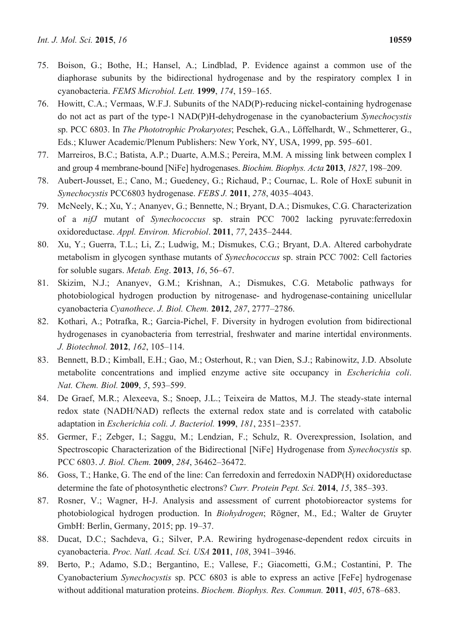- 75. Boison, G.; Bothe, H.; Hansel, A.; Lindblad, P. Evidence against a common use of the diaphorase subunits by the bidirectional hydrogenase and by the respiratory complex I in cyanobacteria. *FEMS Microbiol. Lett.* **1999**, *174*, 159–165.
- 76. Howitt, C.A.; Vermaas, W.F.J. Subunits of the NAD(P)-reducing nickel-containing hydrogenase do not act as part of the type-1 NAD(P)H-dehydrogenase in the cyanobacterium *Synechocystis* sp. PCC 6803. In *The Phototrophic Prokaryotes*; Peschek, G.A., Löffelhardt, W., Schmetterer, G., Eds.; Kluwer Academic/Plenum Publishers: New York, NY, USA, 1999, pp. 595–601.
- 77. Marreiros, B.C.; Batista, A.P.; Duarte, A.M.S.; Pereira, M.M. A missing link between complex I and group 4 membrane-bound [NiFe] hydrogenases. *Biochim. Biophys. Acta* **2013**, *1827*, 198–209.
- 78. Aubert-Jousset, E.; Cano, M.; Guedeney, G.; Richaud, P.; Cournac, L. Role of HoxE subunit in *Synechocystis* PCC6803 hydrogenase. *FEBS J.* **2011**, *278*, 4035–4043.
- 79. McNeely, K.; Xu, Y.; Ananyev, G.; Bennette, N.; Bryant, D.A.; Dismukes, C.G. Characterization of a *nifJ* mutant of *Synechococcus* sp. strain PCC 7002 lacking pyruvate:ferredoxin oxidoreductase. *Appl. Environ. Microbiol*. **2011**, *77*, 2435–2444.
- 80. Xu, Y.; Guerra, T.L.; Li, Z.; Ludwig, M.; Dismukes, C.G.; Bryant, D.A. Altered carbohydrate metabolism in glycogen synthase mutants of *Synechococcus* sp. strain PCC 7002: Cell factories for soluble sugars. *Metab. Eng*. **2013**, *16*, 56–67.
- 81. Skizim, N.J.; Ananyev, G.M.; Krishnan, A.; Dismukes, C.G. Metabolic pathways for photobiological hydrogen production by nitrogenase- and hydrogenase-containing unicellular cyanobacteria *Cyanothece*. *J. Biol. Chem.* **2012**, *287*, 2777–2786.
- 82. Kothari, A.; Potrafka, R.; Garcia-Pichel, F. Diversity in hydrogen evolution from bidirectional hydrogenases in cyanobacteria from terrestrial, freshwater and marine intertidal environments. *J. Biotechnol.* **2012**, *162*, 105–114.
- 83. Bennett, B.D.; Kimball, E.H.; Gao, M.; Osterhout, R.; van Dien, S.J.; Rabinowitz, J.D. Absolute metabolite concentrations and implied enzyme active site occupancy in *Escherichia coli*. *Nat. Chem. Biol.* **2009**, *5*, 593–599.
- 84. De Graef, M.R.; Alexeeva, S.; Snoep, J.L.; Teixeira de Mattos, M.J. The steady-state internal redox state (NADH/NAD) reflects the external redox state and is correlated with catabolic adaptation in *Escherichia coli. J. Bacteriol.* **1999**, *181*, 2351–2357.
- 85. Germer, F.; Zebger, I.; Saggu, M.; Lendzian, F.; Schulz, R. Overexpression, Isolation, and Spectroscopic Characterization of the Bidirectional [NiFe] Hydrogenase from *Synechocystis* sp. PCC 6803. *J. Biol. Chem.* **2009**, *284*, 36462–36472.
- 86. Goss, T.; Hanke, G. The end of the line: Can ferredoxin and ferredoxin NADP(H) oxidoreductase determine the fate of photosynthetic electrons? *Curr. Protein Pept. Sci.* **2014**, *15*, 385–393.
- 87. Rosner, V.; Wagner, H-J. Analysis and assessment of current photobioreactor systems for photobiological hydrogen production. In *Biohydrogen*; Rögner, M., Ed.; Walter de Gruyter GmbH: Berlin, Germany, 2015; pp. 19–37.
- 88. Ducat, D.C.; Sachdeva, G.; Silver, P.A. Rewiring hydrogenase-dependent redox circuits in cyanobacteria. *Proc. Natl. Acad. Sci. USA* **2011**, *108*, 3941–3946.
- 89. Berto, P.; Adamo, S.D.; Bergantino, E.; Vallese, F.; Giacometti, G.M.; Costantini, P. The Cyanobacterium *Synechocystis* sp. PCC 6803 is able to express an active [FeFe] hydrogenase without additional maturation proteins. *Biochem. Biophys. Res. Commun.* **2011**, *405*, 678–683.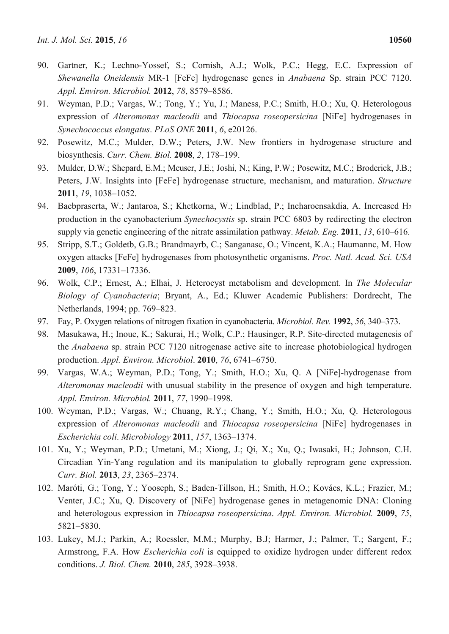- 90. Gartner, K.; Lechno-Yossef, S.; Cornish, A.J.; Wolk, P.C.; Hegg, E.C. Expression of *Shewanella Oneidensis* MR-1 [FeFe] hydrogenase genes in *Anabaena* Sp. strain PCC 7120. *Appl. Environ. Microbiol.* **2012**, *78*, 8579–8586.
- 91. Weyman, P.D.; Vargas, W.; Tong, Y.; Yu, J.; Maness, P.C.; Smith, H.O.; Xu, Q. Heterologous expression of *Alteromonas macleodii* and *Thiocapsa roseopersicina* [NiFe] hydrogenases in *Synechococcus elongatus*. *PLoS ONE* **2011**, *6*, e20126.
- 92. Posewitz, M.C.; Mulder, D.W.; Peters, J.W. New frontiers in hydrogenase structure and biosynthesis. *Curr. Chem. Biol.* **2008**, *2*, 178–199.
- 93. Mulder, D.W.; Shepard, E.M.; Meuser, J.E.; Joshi, N.; King, P.W.; Posewitz, M.C.; Broderick, J.B.; Peters, J.W. Insights into [FeFe] hydrogenase structure, mechanism, and maturation. *Structure*  **2011**, *19*, 1038–1052.
- 94. Baebpraserta, W.; Jantaroa, S.; Khetkorna, W.; Lindblad, P.; Incharoensakdia, A. Increased H2 production in the cyanobacterium *Synechocystis* sp. strain PCC 6803 by redirecting the electron supply via genetic engineering of the nitrate assimilation pathway. *Metab. Eng.* **2011**, *13*, 610–616.
- 95. Stripp, S.T.; Goldetb, G.B.; Brandmayrb, C.; Sanganasc, O.; Vincent, K.A.; Haumannc, M. How oxygen attacks [FeFe] hydrogenases from photosynthetic organisms. *Proc. Natl. Acad. Sci. USA* **2009**, *106*, 17331–17336.
- 96. Wolk, C.P.; Ernest, A.; Elhai, J. Heterocyst metabolism and development. In *The Molecular Biology of Cyanobacteria*; Bryant, A., Ed.; Kluwer Academic Publishers: Dordrecht, The Netherlands, 1994; pp. 769–823.
- 97. Fay, P. Oxygen relations of nitrogen fixation in cyanobacteria. *Microbiol. Rev.* **1992**, *56*, 340–373.
- 98. Masukawa, H.; Inoue, K.; Sakurai, H.; Wolk, C.P.; Hausinger, R.P. Site-directed mutagenesis of the *Anabaena* sp. strain PCC 7120 nitrogenase active site to increase photobiological hydrogen production. *Appl. Environ. Microbiol*. **2010**, *76*, 6741–6750.
- 99. Vargas, W.A.; Weyman, P.D.; Tong, Y.; Smith, H.O.; Xu, Q. A [NiFe]-hydrogenase from *Alteromonas macleodii* with unusual stability in the presence of oxygen and high temperature. *Appl. Environ. Microbiol.* **2011**, *77*, 1990–1998.
- 100. Weyman, P.D.; Vargas, W.; Chuang, R.Y.; Chang, Y.; Smith, H.O.; Xu, Q. Heterologous expression of *Alteromonas macleodii* and *Thiocapsa roseopersicina* [NiFe] hydrogenases in *Escherichia coli*. *Microbiology* **2011**, *157*, 1363–1374.
- 101. Xu, Y.; Weyman, P.D.; Umetani, M.; Xiong, J.; Qi, X.; Xu, Q.; Iwasaki, H.; Johnson, C.H. Circadian Yin-Yang regulation and its manipulation to globally reprogram gene expression. *Curr. Biol.* **2013**, *23*, 2365–2374.
- 102. Maróti, G.; Tong, Y.; Yooseph, S.; Baden-Tillson, H.; Smith, H.O.; Kovács, K.L.; Frazier, M.; Venter, J.C.; Xu, Q. Discovery of [NiFe] hydrogenase genes in metagenomic DNA: Cloning and heterologous expression in *Thiocapsa roseopersicina*. *Appl. Environ. Microbiol.* **2009**, *75*, 5821–5830.
- 103. Lukey, M.J.; Parkin, A.; Roessler, M.M.; Murphy, B.J; Harmer, J.; Palmer, T.; Sargent, F.; Armstrong, F.A. How *Escherichia coli* is equipped to oxidize hydrogen under different redox conditions. *J. Biol. Chem.* **2010**, *285*, 3928–3938.